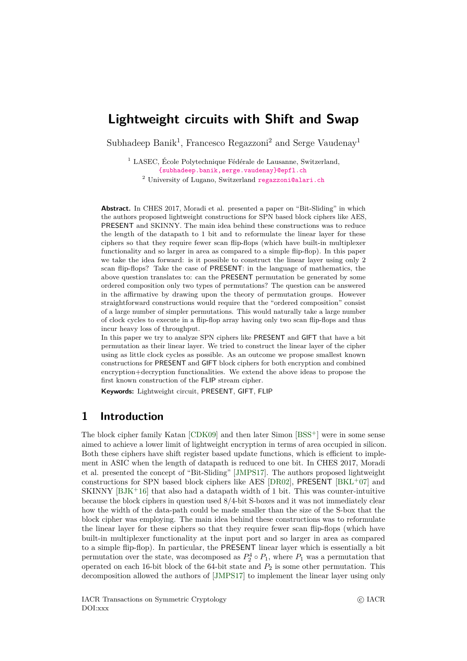# <span id="page-0-0"></span>**Lightweight circuits with Shift and Swap**

Subhadeep Banik<sup>1</sup>, Francesco Regazzoni<sup>2</sup> and Serge Vaudenay<sup>1</sup>

<sup>1</sup> LASEC, École Polytechnique Fédérale de Lausanne, Switzerland, [{subhadeep.banik,serge.vaudenay}@epfl.ch](mailto:{subhadeep.banik,serge.vaudenay}@epfl.ch)

<sup>2</sup> University of Lugano, Switzerland [regazzoni@alari.ch](mailto:regazzoni@alari.ch)

**Abstract.** In CHES 2017, Moradi et al. presented a paper on "Bit-Sliding" in which the authors proposed lightweight constructions for SPN based block ciphers like AES, PRESENT and SKINNY. The main idea behind these constructions was to reduce the length of the datapath to 1 bit and to reformulate the linear layer for these ciphers so that they require fewer scan flip-flops (which have built-in multiplexer functionality and so larger in area as compared to a simple flip-flop). In this paper we take the idea forward: is it possible to construct the linear layer using only 2 scan flip-flops? Take the case of PRESENT: in the language of mathematics, the above question translates to: can the PRESENT permutation be generated by some ordered composition only two types of permutations? The question can be answered in the affirmative by drawing upon the theory of permutation groups. However straightforward constructions would require that the "ordered composition" consist of a large number of simpler permutations. This would naturally take a large number of clock cycles to execute in a flip-flop array having only two scan flip-flops and thus incur heavy loss of throughput.

In this paper we try to analyze SPN ciphers like PRESENT and GIFT that have a bit permutation as their linear layer. We tried to construct the linear layer of the cipher using as little clock cycles as possible. As an outcome we propose smallest known constructions for PRESENT and GIFT block ciphers for both encryption and combined encryption+decryption functionalities. We extend the above ideas to propose the first known construction of the FLIP stream cipher.

**Keywords:** Lightweight circuit, PRESENT, GIFT, FLIP

### **1 Introduction**

The block cipher family Katan [\[CDK09\]](#page-31-0) and then later Simon [\[BSS](#page-31-1)<sup>+</sup>] were in some sense aimed to achieve a lower limit of lightweight encryption in terms of area occupied in silicon. Both these ciphers have shift register based update functions, which is efficient to implement in ASIC when the length of datapath is reduced to one bit. In CHES 2017, Moradi et al. presented the concept of "Bit-Sliding" [\[JMPS17\]](#page-31-2). The authors proposed lightweight constructions for SPN based block ciphers like AES  $[DR02]$ , PRESENT  $[BKL+07]$  $[BKL+07]$  and SKINNY  $[BJK^+16]$  $[BJK^+16]$  that also had a datapath width of 1 bit. This was counter-intuitive because the block ciphers in question used 8/4-bit S-boxes and it was not immediately clear how the width of the data-path could be made smaller than the size of the S-box that the block cipher was employing. The main idea behind these constructions was to reformulate the linear layer for these ciphers so that they require fewer scan flip-flops (which have built-in multiplexer functionality at the input port and so larger in area as compared to a simple flip-flop). In particular, the PRESENT linear layer which is essentially a bit permutation over the state, was decomposed as  $P_2^4 \circ P_1$ , where  $P_1$  was a permutation that operated on each 16-bit block of the 64-bit state and *P*<sup>2</sup> is some other permutation. This decomposition allowed the authors of [\[JMPS17\]](#page-31-2) to implement the linear layer using only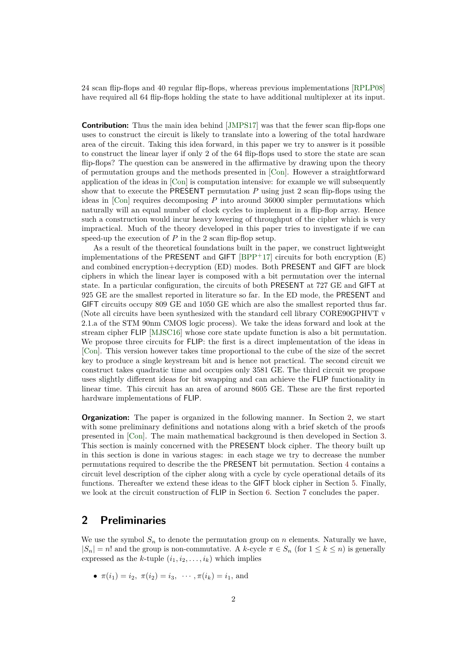24 scan flip-flops and 40 regular flip-flops, whereas previous implementations [\[RPLP08\]](#page-32-0) have required all 64 flip-flops holding the state to have additional multiplexer at its input.

**Contribution:** Thus the main idea behind [\[JMPS17\]](#page-31-2) was that the fewer scan flip-flops one uses to construct the circuit is likely to translate into a lowering of the total hardware area of the circuit. Taking this idea forward, in this paper we try to answer is it possible to construct the linear layer if only 2 of the 64 flip-flops used to store the state are scan flip-flops? The question can be answered in the affirmative by drawing upon the theory of permutation groups and the methods presented in [\[Con\]](#page-31-6). However a straightforward application of the ideas in [\[Con\]](#page-31-6) is computation intensive: for example we will subsequently show that to execute the PRESENT permutation *P* using just 2 scan flip-flops using the ideas in [\[Con\]](#page-31-6) requires decomposing *P* into around 36000 simpler permutations which naturally will an equal number of clock cycles to implement in a flip-flop array. Hence such a construction would incur heavy lowering of throughput of the cipher which is very impractical. Much of the theory developed in this paper tries to investigate if we can speed-up the execution of  $P$  in the 2 scan flip-flop setup.

As a result of the theoretical foundations built in the paper, we construct lightweight implementations of the PRESENT and GIFT  $[BPP+17]$  $[BPP+17]$  circuits for both encryption  $(E)$ and combined encryption+decryption (ED) modes. Both PRESENT and GIFT are block ciphers in which the linear layer is composed with a bit permutation over the internal state. In a particular configuration, the circuits of both PRESENT at 727 GE and GIFT at 925 GE are the smallest reported in literature so far. In the ED mode, the PRESENT and GIFT circuits occupy 809 GE and 1050 GE which are also the smallest reported thus far. (Note all circuits have been synthesized with the standard cell library CORE90GPHVT v 2.1.a of the STM 90nm CMOS logic process). We take the ideas forward and look at the stream cipher FLIP [\[MJSC16\]](#page-31-8) whose core state update function is also a bit permutation. We propose three circuits for FLIP: the first is a direct implementation of the ideas in [\[Con\]](#page-31-6). This version however takes time proportional to the cube of the size of the secret key to produce a single keystream bit and is hence not practical. The second circuit we construct takes quadratic time and occupies only 3581 GE. The third circuit we propose uses slightly different ideas for bit swapping and can achieve the FLIP functionality in linear time. This circuit has an area of around 8605 GE. These are the first reported hardware implementations of FLIP.

**Organization:** The paper is organized in the following manner. In Section [2,](#page-1-0) we start with some preliminary definitions and notations along with a brief sketch of the proofs presented in [\[Con\]](#page-31-6). The main mathematical background is then developed in Section [3.](#page-2-0) This section is mainly concerned with the PRESENT block cipher. The theory built up in this section is done in various stages: in each stage we try to decrease the number permutations required to describe the the PRESENT bit permutation. Section [4](#page-16-0) contains a circuit level description of the cipher along with a cycle by cycle operational details of its functions. Thereafter we extend these ideas to the GIFT block cipher in Section [5.](#page-21-0) Finally, we look at the circuit construction of FLIP in Section [6.](#page-25-0) Section [7](#page-29-0) concludes the paper.

# <span id="page-1-0"></span>**2 Preliminaries**

We use the symbol  $S_n$  to denote the permutation group on *n* elements. Naturally we have,  $|S_n| = n!$  and the group is non-commutative. A k-cycle  $\pi \in S_n$  (for  $1 \leq k \leq n$ ) is generally expressed as the *k*-tuple  $(i_1, i_2, \ldots, i_k)$  which implies

• 
$$
\pi(i_1) = i_2, \ \pi(i_2) = i_3, \ \cdots, \pi(i_k) = i_1, \text{ and}
$$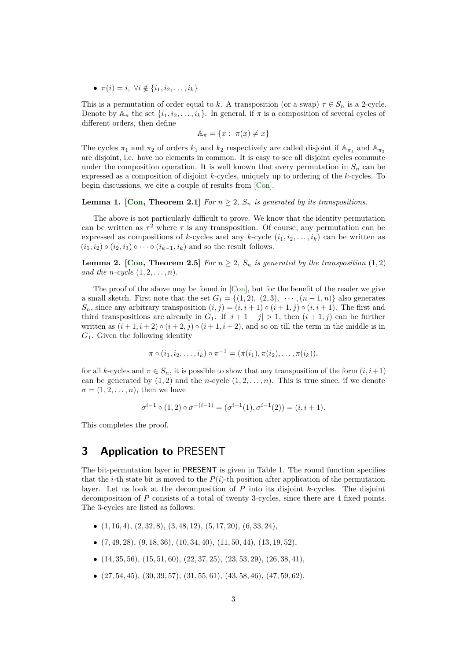•  $\pi(i) = i, \forall i \notin \{i_1, i_2, \dots, i_k\}$ 

This is a permutation of order equal to *k*. A transposition (or a swap)  $\tau \in S_n$  is a 2-cycle. Denote by  $\mathbb{A}_{\pi}$  the set  $\{i_1, i_2, \ldots, i_k\}$ . In general, if  $\pi$  is a composition of several cycles of different orders, then define

 $A_{\pi} = \{x : \pi(x) \neq x\}$ 

The cycles  $\pi_1$  and  $\pi_2$  of orders  $k_1$  and  $k_2$  respectively are called disjoint if  $\mathbb{A}_{\pi_1}$  and  $\mathbb{A}_{\pi_2}$ are disjoint, i.e. have no elements in common. It is easy to see all disjoint cycles commute under the composition operation. It is well known that every permutation in  $S_n$  can be expressed as a composition of disjoint *k*-cycles, uniquely up to ordering of the *k*-cycles. To begin discussions, we cite a couple of results from [\[Con\]](#page-31-6).

<span id="page-2-2"></span>**Lemma 1.** [\[Con,](#page-31-6) Theorem 2.1] *For*  $n \geq 2$ ,  $S_n$  *is generated by its transpositions.* 

The above is not particularly difficult to prove. We know that the identity permutation can be written as  $\tau^2$  where  $\tau$  is any transposition. Of course, any permutation can be expressed as compositions of *k*-cycles and any *k*-cycle  $(i_1, i_2, \ldots, i_k)$  can be written as  $(i_1, i_2) \circ (i_2, i_3) \circ \cdots \circ (i_{k-1}, i_k)$  and so the result follows.

<span id="page-2-1"></span>**Lemma 2.** [\[Con,](#page-31-6) Theorem 2.5] *For*  $n \geq 2$ *,*  $S_n$  *is generated by the transposition* (1,2) *and the n-cycle*  $(1, 2, ..., n)$ *.* 

The proof of the above may be found in [\[Con\]](#page-31-6), but for the benefit of the reader we give a small sketch. First note that the set  $G_1 = \{(1, 2), (2, 3), \cdots, (n-1, n)\}\$ also generates  $S_n$ , since any arbitrary transposition  $(i, j) = (i, i + 1) \circ (i + 1, j) \circ (i, i + 1)$ . The first and third transpositions are already in *G*<sub>1</sub>. If  $|i + 1 - j| > 1$ , then  $(i + 1, j)$  can be further written as  $(i+1, i+2) \circ (i+2, j) \circ (i+1, i+2)$ , and so on till the term in the middle is in *G*1. Given the following identity

$$
\pi \circ (i_1, i_2, \ldots, i_k) \circ \pi^{-1} = (\pi(i_1), \pi(i_2), \ldots, \pi(i_k)),
$$

for all *k*-cycles and  $\pi \in S_n$ , it is possible to show that any transposition of the form  $(i, i+1)$ can be generated by  $(1, 2)$  and the *n*-cycle  $(1, 2, \ldots, n)$ . This is true since, if we denote  $\sigma = (1, 2, \ldots, n)$ , then we have

$$
\sigma^{i-1} \circ (1,2) \circ \sigma^{-(i-1)} = (\sigma^{i-1}(1), \sigma^{i-1}(2)) = (i, i+1).
$$

This completes the proof.

### <span id="page-2-0"></span>**3 Application to** PRESENT

The bit-permutation layer in PRESENT is given in Table [1.](#page-3-0) The round function specifies that the *i*-th state bit is moved to the  $P(i)$ -th position after application of the permutation layer. Let us look at the decomposition of *P* into its disjoint *k*-cycles. The disjoint decomposition of *P* consists of a total of twenty 3-cycles, since there are 4 fixed points. The 3-cycles are listed as follows:

- (1*,* 16*,* 4), (2*,* 32*,* 8), (3*,* 48*,* 12), (5*,* 17*,* 20), (6*,* 33*,* 24),
- (7*,* 49*,* 28), (9*,* 18*,* 36), (10*,* 34*,* 40), (11*,* 50*,* 44), (13*,* 19*,* 52),
- (14*,* 35*,* 56), (15*,* 51*,* 60), (22*,* 37*,* 25), (23*,* 53*,* 29), (26*,* 38*,* 41),
- (27*,* 54*,* 45), (30*,* 39*,* 57), (31*,* 55*,* 61), (43*,* 58*,* 46), (47*,* 59*,* 62).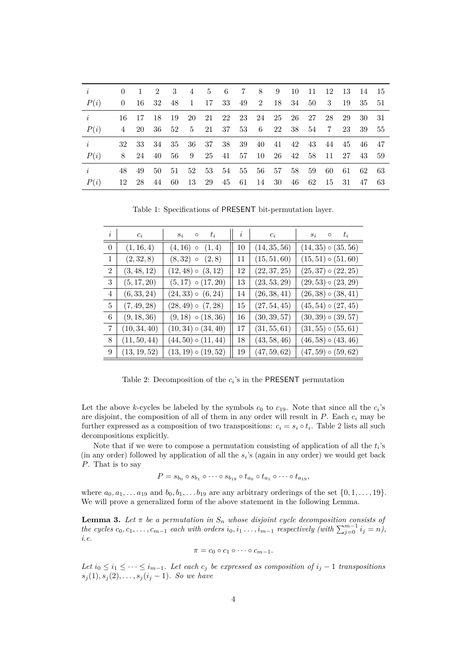<span id="page-3-0"></span>

| $\dot{i}$ |     |       | 0 1 2 3 4 5 6 7 8 9 10 11 12 13 14 15           |  |  |  |  |                |       |    |
|-----------|-----|-------|-------------------------------------------------|--|--|--|--|----------------|-------|----|
| P(i)      |     |       | 0 16 32 48 1 17 33 49 2 18 34 50 3 19           |  |  |  |  |                | 35 51 |    |
| i         |     |       | 16 17 18 19 20 21 22 23 24 25 26 27 28 29 30 31 |  |  |  |  |                |       |    |
| P(i)      |     |       | 4 20 36 52 5 21 37 53 6 22 38 54 7 23 39        |  |  |  |  |                |       | 55 |
| i         |     |       | 32 33 34 35 36 37 38 39 40 41 42 43 44 45 46 47 |  |  |  |  |                |       |    |
| P(i)      |     |       | 8 24 40 56 9 25 41 57 10 26 42 58 11 27 43 59   |  |  |  |  |                |       |    |
| $\dot{i}$ | 48. |       | 49 50 51 52 53 54 55 56 57 58 59 60 61 62 63    |  |  |  |  |                |       |    |
| P(i)      |     | 12 28 | 44 60 13 29 45 61 14 30 46                      |  |  |  |  | 62 15 31 47 63 |       |    |

Table 1: Specifications of PRESENT bit-permutation layer.

<span id="page-3-1"></span>

| $\it i$        | $c_i$        | $t_i$<br>$\circ$<br>$S_i$ | $\imath$ | $c_i$        | $t_i$<br>$\circ$<br>$S_i$ |
|----------------|--------------|---------------------------|----------|--------------|---------------------------|
| $\Omega$       | (1, 16, 4)   | $(4, 16)$ o<br>(1,4)      | 10       | (14, 35, 56) | $(14, 35) \circ (35, 56)$ |
| $\mathbf{1}$   | (2, 32, 8)   | $(8, 32)$ o<br>(2,8)      | 11       | (15, 51, 60) | $(15, 51) \circ (51, 60)$ |
| $\overline{2}$ | (3, 48, 12)  | $(12, 48) \circ (3, 12)$  | 12       | (22, 37, 25) | $(25, 37) \circ (22, 25)$ |
| 3              | (5, 17, 20)  | $(5, 17) \circ (17, 20)$  | 13       | (23, 53, 29) | $(29, 53) \circ (23, 29)$ |
| $\overline{4}$ | (6, 33, 24)  | $(24, 33) \circ (6, 24)$  | 14       | (26, 38, 41) | $(26, 38) \circ (38, 41)$ |
| $\overline{5}$ | (7, 49, 28)  | $(28, 49) \circ (7, 28)$  | 15       | (27, 54, 45) | $(45, 54) \circ (27, 45)$ |
| 6              | (9, 18, 36)  | $(9, 18) \circ (18, 36)$  | 16       | (30, 39, 57) | $(30, 39) \circ (39, 57)$ |
| $\overline{7}$ | (10, 34, 40) | $(10, 34) \circ (34, 40)$ | 17       | (31, 55, 61) | $(31, 55) \circ (55, 61)$ |
| 8              | (11, 50, 44) | $(44, 50) \circ (11, 44)$ | 18       | (43, 58, 46) | $(46, 58) \circ (43, 46)$ |
| 9              | (13, 19, 52) | $(13, 19) \circ (19, 52)$ | 19       | (47, 59, 62) | $(47, 59) \circ (59, 62)$ |

Table 2: Decomposition of the  $c_i$ 's in the PRESENT permutation

Let the above *k*-cycles be labeled by the symbols  $c_0$  to  $c_{19}$ . Note that since all the  $c_i$ 's are disjoint, the composition of all of them in any order will result in *P*. Each *c<sup>i</sup>* may be further expressed as a composition of two transpositions:  $c_i = s_i \circ t_i$ . Table [2](#page-3-1) lists all such decompositions explicitly.

Note that if we were to compose a permutation consisting of application of all the *t<sup>i</sup>* 's (in any order) followed by application of all the *s<sup>i</sup>* 's (again in any order) we would get back *P*. That is to say

$$
P = s_{b_0} \circ s_{b_1} \circ \cdots \circ s_{b_{19}} \circ t_{a_0} \circ t_{a_1} \circ \cdots \circ t_{a_{19}},
$$

where  $a_0, a_1, \ldots, a_{19}$  and  $b_0, b_1, \ldots, b_{19}$  are any arbitrary orderings of the set  $\{0, 1, \ldots, 19\}$ . We will prove a generalized form of the above statement in the following Lemma.

<span id="page-3-2"></span>**Lemma 3.** Let  $\pi$  be a permutation in  $S_n$  whose disjoint cycle decomposition consists of *the cycles*  $c_0, c_1, \ldots, c_{m-1}$  *each with orders*  $i_0, i_1, \ldots, i_{m-1}$  *respectively (with*  $\sum_{j=0}^{m-1} i_j = n$ ), *i.e.*

$$
\pi = c_0 \circ c_1 \circ \cdots \circ c_{m-1}.
$$

*Let*  $i_0 \leq i_1 \leq \cdots \leq i_{m-1}$ *. Let each*  $c_j$  *be expressed as composition of*  $i_j - 1$  *transpositions*  $s_j(1), s_j(2), \ldots, s_j(i_j - 1)$ *. So we have*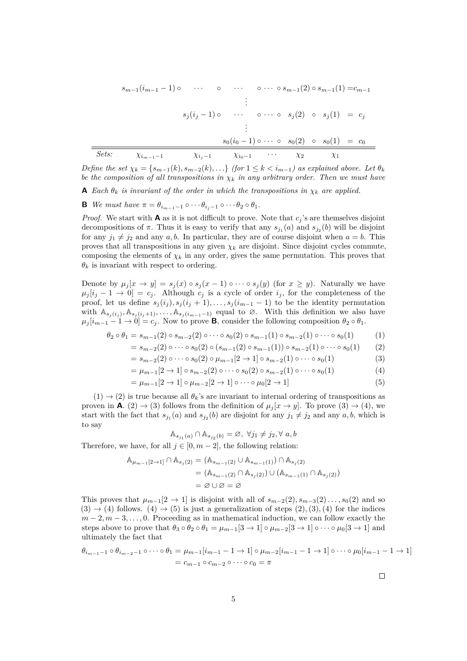$$
s_{m-1}(i_{m-1}-1) \circ \cdots \circ \cdots \circ \cdots \circ s_{m-1}(2) \circ s_{m-1}(1) = c_{m-1}
$$
\n
$$
\vdots
$$
\n
$$
s_j(i_j-1) \circ \cdots \circ \cdots \circ s_j(2) \circ s_j(1) = c_j
$$
\n
$$
\vdots
$$
\n
$$
s_0(i_0-1) \circ \cdots \circ s_0(2) \circ s_0(1) = c_0
$$
\n
$$
Sets: \quad \chi_{i_{m-1}-1} \quad \chi_{i_j-1} \quad \chi_{i_0-1} \quad \cdots \quad \chi_2 \quad \chi_1
$$

*Define the set*  $\chi_k = \{s_{m-1}(k), s_{m-2}(k), \ldots\}$  *(for*  $1 \leq k \leq i_{m-1}$ *) as explained above. Let*  $\theta_k$ *be the composition of all transpositions in χ<sup>k</sup> in any arbitrary order. Then we must have*

**A** *Each*  $\theta_k$  *is invariant of the order in which the transpositions in*  $\chi_k$  *are applied.* 

**B** *We must have*  $\pi = \theta_{i_{m-1}-1} \circ \cdots \theta_{i_{i}-1} \circ \cdots \theta_2 \circ \theta_1$ .

*Proof.* We start with **A** as it is not difficult to prove. Note that  $c_j$ 's are themselves disjoint decompositions of  $\pi$ . Thus it is easy to verify that any  $s_{j_1}(a)$  and  $s_{j_2}(b)$  will be disjoint for any  $j_1 \neq j_2$  and any *a*, *b*. In particular, they are of course disjoint when  $a = b$ . This proves that all transpositions in any given  $\chi_k$  are disjoint. Since disjoint cycles commute, composing the elements of  $\chi_k$  in any order, gives the same permutation. This proves that  $\theta_k$  is invariant with respect to ordering.

Denote by  $\mu_j[x \to y] = s_j(x) \circ s_j(x-1) \circ \cdots \circ s_j(y)$  (for  $x \geq y$ ). Naturally we have  $\mu_j[i_j - 1 \to 0] = c_j$ . Although  $c_j$  is a cycle of order  $i_j$ , for the completeness of the proof, let us define  $s_j(i_j), s_j(i_j + 1), \ldots, s_j(i_{m-1} - 1)$  to be the identity permutation with  $\mathbb{A}_{s_j(i_j)}, \mathbb{A}_{s_j(i_{j+1})}, \ldots, \mathbb{A}_{s_j(i_{m-1}-1)}$  equal to ∅. With this definition we also have  $\mu_j[i_{m-1}-1 \to 0] = c_j$ . Now to prove **B**, consider the following composition  $\theta_2 \circ \theta_1$ .

$$
\theta_2 \circ \theta_1 = s_{m-1}(2) \circ s_{m-2}(2) \circ \cdots \circ s_0(2) \circ s_{m-1}(1) \circ s_{m-2}(1) \circ \cdots \circ s_0(1) \tag{1}
$$

$$
= s_{m-2}(2) \circ \cdots \circ s_0(2) \circ (s_{m-1}(2) \circ s_{m-1}(1)) \circ s_{m-2}(1) \circ \cdots \circ s_0(1) \qquad (2)
$$

$$
= s_{m-2}(2) \circ \cdots \circ s_0(2) \circ \mu_{m-1}[2 \to 1] \circ s_{m-2}(1) \circ \cdots \circ s_0(1) \tag{3}
$$

$$
= \mu_{m-1}[2 \to 1] \circ s_{m-2}(2) \circ \cdots \circ s_0(2) \circ s_{m-2}(1) \circ \cdots \circ s_0(1) \tag{4}
$$

$$
= \mu_{m-1}[2 \to 1] \circ \mu_{m-2}[2 \to 1] \circ \cdots \circ \mu_0[2 \to 1]
$$
\n
$$
(5)
$$

 $(1) \rightarrow (2)$  is true because all  $\theta_k$ 's are invariant to internal ordering of transpositions as proven in **A**. (2)  $\rightarrow$  (3) follows from the definition of  $\mu_j[x \rightarrow y]$ . To prove (3)  $\rightarrow$  (4), we start with the fact that  $s_{j_1}(a)$  and  $s_{j_2}(b)$  are disjoint for any  $j_1 \neq j_2$  and any  $a, b$ , which is to say

$$
\mathbb{A}_{s_{j_1}(a)} \cap \mathbb{A}_{s_{j_2}(b)} = \varnothing, \ \forall j_1 \neq j_2, \forall \ a, b
$$

Therefore, we have, for all  $j \in [0, m-2]$ , the following relation:

$$
\begin{aligned} \mathbb{A}_{\mu_{m-1}[2\to 1]} \cap \mathbb{A}_{s_j(2)} &= (\mathbb{A}_{s_{m-1}(2)} \cup \mathbb{A}_{s_{m-1}(1)}) \cap \mathbb{A}_{s_j(2)} \\ &= (\mathbb{A}_{s_{m-1}(2)} \cap \mathbb{A}_{s_j(2)}) \cup (\mathbb{A}_{s_{m-1}(1)} \cap \mathbb{A}_{s_j(2)}) \\ &= \varnothing \cup \varnothing = \varnothing \end{aligned}
$$

This proves that  $\mu_{m-1}[2 \to 1]$  is disjoint with all of  $s_{m-2}(2), s_{m-3}(2), \ldots, s_0(2)$  and so  $(3) \rightarrow (4)$  follows.  $(4) \rightarrow (5)$  is just a generalization of steps  $(2), (3), (4)$  for the indices  $m-2, m-3, \ldots, 0$ . Proceeding as in mathematical induction, we can follow exactly the steps above to prove that  $\theta_3 \circ \theta_2 \circ \theta_1 = \mu_{m-1}[3 \to 1] \circ \mu_{m-2}[3 \to 1] \circ \cdots \circ \mu_0[3 \to 1]$  and ultimately the fact that

$$
\theta_{i_{m-1}-1} \circ \theta_{i_{m-2}-1} \circ \cdots \circ \theta_1 = \mu_{m-1} [i_{m-1} - 1 \to 1] \circ \mu_{m-2} [i_{m-1} - 1 \to 1] \circ \cdots \circ \mu_0 [i_{m-1} - 1 \to 1]
$$
  
=  $c_{m-1} \circ c_{m-2} \circ \cdots \circ c_0 = \pi$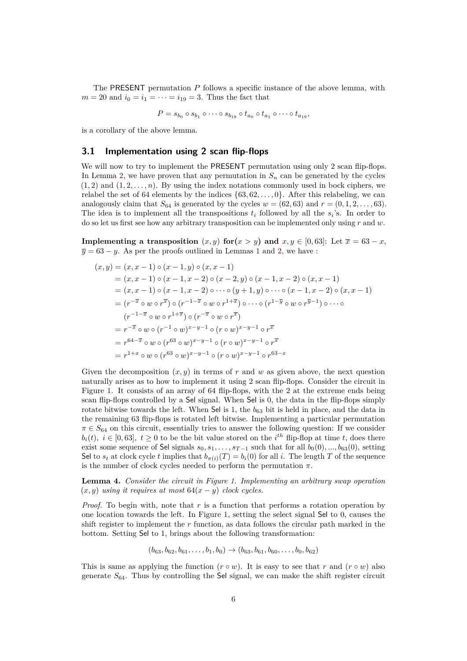The PRESENT permutation *P* follows a specific instance of the above lemma, with  $m = 20$  and  $i_0 = i_1 = \cdots = i_{19} = 3$ . Thus the fact that

$$
P = s_{b_0} \circ s_{b_1} \circ \cdots \circ s_{b_{19}} \circ t_{a_0} \circ t_{a_1} \circ \cdots \circ t_{a_{19}},
$$

is a corollary of the above lemma.

#### **3.1 Implementation using 2 scan flip-flops**

We will now to try to implement the PRESENT permutation using only 2 scan flip-flops. In Lemma [2,](#page-2-1) we have proven that any permutation in  $S_n$  can be generated by the cycles  $(1, 2)$  and  $(1, 2, \ldots, n)$ . By using the index notations commonly used in bock ciphers, we relabel the set of 64 elements by the indices  $\{63, 62, \ldots, 0\}$ . After this relabeling, we can analogously claim that  $S_{64}$  is generated by the cycles  $w = (62, 63)$  and  $r = (0, 1, 2, \ldots, 63)$ . The idea is to implement all the transpositions  $t_i$  followed by all the  $s_i$ 's. In order to do so let us first see how any arbitrary transposition can be implemented only using *r* and *w*.

**Implementing a transposition**  $(x, y)$  **for** $(x > y)$  and  $x, y \in [0, 63]$ : Let  $\overline{x} = 63 - x$ ,  $\overline{y} = 63 - y$ . As per the proofs outlined in Lemmas [1](#page-2-2) and [2,](#page-2-1) we have :

$$
(x,y) = (x, x - 1) \circ (x - 1, y) \circ (x, x - 1)
$$
  
\n
$$
= (x, x - 1) \circ (x - 1, x - 2) \circ (x - 2, y) \circ (x - 1, x - 2) \circ (x, x - 1)
$$
  
\n
$$
= (x, x - 1) \circ (x - 1, x - 2) \circ \cdots \circ (y + 1, y) \circ \cdots \circ (x - 1, x - 2) \circ (x, x - 1)
$$
  
\n
$$
= (r^{-\overline{x}} \circ w \circ r^{\overline{x}}) \circ (r^{-1-\overline{x}} \circ w \circ r^{1+\overline{x}}) \circ \cdots \circ (r^{1-\overline{y}} \circ w \circ r^{\overline{y}-1}) \circ \cdots \circ (r^{-1-\overline{x}} \circ w \circ r^{1+\overline{x}}) \circ (r^{-\overline{x}} \circ w \circ r^{\overline{x}})
$$
  
\n
$$
= r^{-\overline{x}} \circ w \circ (r^{-1} \circ w)^{x-y-1} \circ (r \circ w)^{x-y-1} \circ r^{\overline{x}}
$$
  
\n
$$
= r^{64-\overline{x}} \circ w \circ (r^{63} \circ w)^{x-y-1} \circ (r \circ w)^{x-y-1} \circ r^{\overline{x}}
$$
  
\n
$$
= r^{1+x} \circ w \circ (r^{63} \circ w)^{x-y-1} \circ (r \circ w)^{x-y-1} \circ r^{63-x}
$$

Given the decomposition  $(x, y)$  in terms of r and w as given above, the next question naturally arises as to how to implement it using 2 scan flip-flops. Consider the circuit in Figure [1.](#page-6-0) It consists of an array of 64 flip-flops, with the 2 at the extreme ends being scan flip-flops controlled by a Sel signal. When Sel is 0, the data in the flip-flops simply rotate bitwise towards the left. When Sel is 1, the  $b_{63}$  bit is held in place, and the data in the remaining 63 flip-flops is rotated left bitwise. Implementing a particular permutation  $\pi \in S_{64}$  on this circuit, essentially tries to answer the following question: If we consider  $b_i(t)$ ,  $i \in [0, 63]$ ,  $t \geq 0$  to be the bit value stored on the *i*<sup>th</sup> flip-flop at time *t*, does there exist some sequence of Sel signals  $s_0, s_1, \ldots, s_{T-1}$  such that for all  $b_0(0), \ldots, b_{63}(0)$ , setting Sel to  $s_t$  at clock cycle *t* implies that  $b_{\pi(i)}(T) = b_i(0)$  for all *i*. The length *T* of the sequence is the number of clock cycles needed to perform the permutation  $\pi$ .

<span id="page-5-0"></span>**Lemma 4.** *Consider the circuit in Figure [1.](#page-6-0) Implementing an arbitrary swap operation*  $(x, y)$  *using it requires at most*  $64(x - y)$  *clock cycles.* 

*Proof.* To begin with, note that *r* is a function that performs a rotation operation by one location towards the left. In Figure [1,](#page-6-0) setting the select signal Sel to 0, causes the shift register to implement the *r* function, as data follows the circular path marked in the bottom. Setting Sel to 1, brings about the following transformation:

$$
(b_{63}, b_{62}, b_{61}, \ldots, b_1, b_0) \rightarrow (b_{63}, b_{61}, b_{60}, \ldots, b_0, b_{62})
$$

This is same as applying the function  $(r \circ w)$ . It is easy to see that *r* and  $(r \circ w)$  also generate *S*64. Thus by controlling the Sel signal, we can make the shift register circuit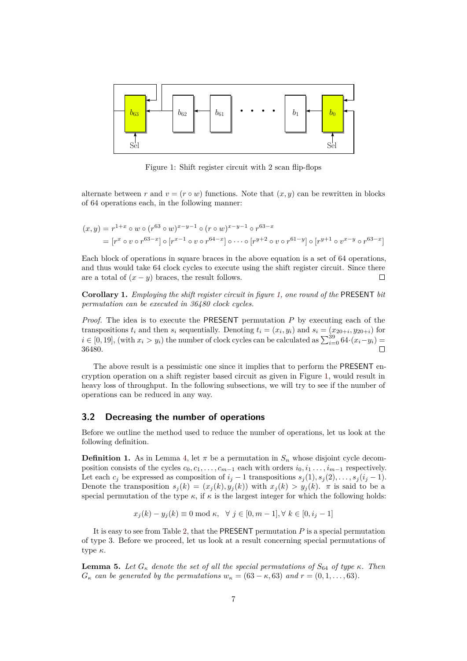<span id="page-6-0"></span>

Figure 1: Shift register circuit with 2 scan flip-flops

alternate between *r* and  $v = (r \circ w)$  functions. Note that  $(x, y)$  can be rewritten in blocks of 64 operations each, in the following manner:

$$
(x,y) = r^{1+x} \circ w \circ (r^{63} \circ w)^{x-y-1} \circ (r \circ w)^{x-y-1} \circ r^{63-x}
$$
  
= 
$$
[r^x \circ v \circ r^{63-x}] \circ [r^{x-1} \circ v \circ r^{64-x}] \circ \cdots \circ [r^{y+2} \circ v \circ r^{61-y}] \circ [r^{y+1} \circ v^{x-y} \circ r^{63-x}]
$$

Each block of operations in square braces in the above equation is a set of 64 operations, and thus would take 64 clock cycles to execute using the shift register circuit. Since there are a total of  $(x - y)$  braces, the result follows.  $\Box$ 

**Corollary 1.** *Employing the shift register circuit in figure [1,](#page-6-0) one round of the* PRESENT *bit permutation can be executed in 36480 clock cycles.*

*Proof.* The idea is to execute the PRESENT permutation *P* by executing each of the transpositions  $t_i$  and then  $s_i$  sequentially. Denoting  $t_i = (x_i, y_i)$  and  $s_i = (x_{20+i}, y_{20+i})$  for  $i \in [0, 19]$ , (with  $x_i > y_i$ ) the number of clock cycles can be calculated as  $\sum_{i=0}^{39} 64 \cdot (x_i - y_i) =$ 36480.

The above result is a pessimistic one since it implies that to perform the PRESENT encryption operation on a shift register based circuit as given in Figure [1,](#page-6-0) would result in heavy loss of throughput. In the following subsections, we will try to see if the number of operations can be reduced in any way.

#### **3.2 Decreasing the number of operations**

Before we outline the method used to reduce the number of operations, let us look at the following definition.

**Definition 1.** As in Lemma [4,](#page-5-0) let  $\pi$  be a permutation in  $S_n$  whose disjoint cycle decomposition consists of the cycles  $c_0, c_1, \ldots, c_{m-1}$  each with orders  $i_0, i_1, \ldots, i_{m-1}$  respectively. Let each  $c_j$  be expressed as composition of  $i_j - 1$  transpositions  $s_j(1), s_j(2), \ldots, s_j(i_j - 1)$ . Denote the transposition  $s_j(k) = (x_j(k), y_j(k))$  with  $x_j(k) > y_j(k)$ . *π* is said to be a special permutation of the type  $\kappa$ , if  $\kappa$  is the largest integer for which the following holds:

$$
x_j(k) - y_j(k) \equiv 0 \mod \kappa, \ \ \forall \ j \in [0, m-1], \forall \ k \in [0, i_j - 1]
$$

It is easy to see from Table [2,](#page-3-1) that the PRESENT permutation *P* is a special permutation of type 3. Before we proceed, let us look at a result concerning special permutations of type *κ*.

**Lemma 5.** Let  $G_{\kappa}$  denote the set of all the special permutations of  $S_{64}$  of type  $\kappa$ . Then  $G_{\kappa}$  *can be generated by the permutations*  $w_{\kappa} = (63 - \kappa, 63)$  *and*  $r = (0, 1, \ldots, 63)$ *.*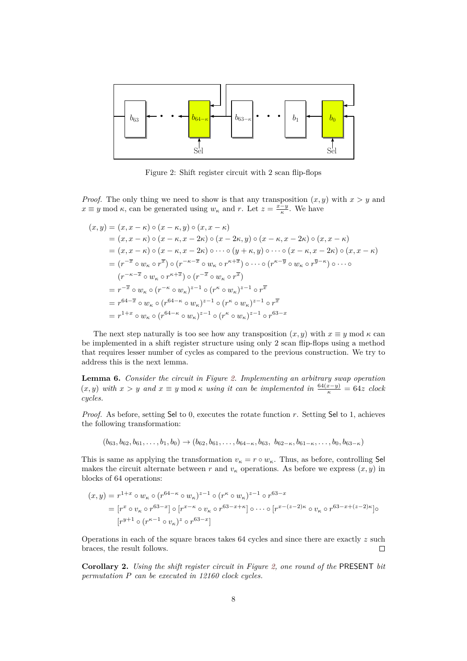<span id="page-7-0"></span>

Figure 2: Shift register circuit with 2 scan flip-flops

*Proof.* The only thing we need to show is that any transposition  $(x, y)$  with  $x > y$  and  $x \equiv y \mod \kappa$ , can be generated using  $w_{\kappa}$  and *r*. Let  $z = \frac{x-y}{\kappa}$ . We have

$$
(x,y) = (x, x - \kappa) \circ (x - \kappa, y) \circ (x, x - \kappa)
$$
  
\n
$$
= (x, x - \kappa) \circ (x - \kappa, x - 2\kappa) \circ (x - 2\kappa, y) \circ (x - \kappa, x - 2\kappa) \circ (x, x - \kappa)
$$
  
\n
$$
= (x, x - \kappa) \circ (x - \kappa, x - 2\kappa) \circ \cdots \circ (y + \kappa, y) \circ \cdots \circ (x - \kappa, x - 2\kappa) \circ (x, x - \kappa)
$$
  
\n
$$
= (r^{-\overline{x}} \circ w_{\kappa} \circ r^{\overline{x}}) \circ (r^{-\kappa - \overline{x}} \circ w_{\kappa} \circ r^{\kappa + \overline{x}}) \circ \cdots \circ (r^{\kappa - \overline{y}} \circ w_{\kappa} \circ r^{\overline{y} - \kappa}) \circ \cdots \circ
$$
  
\n
$$
(r^{-\kappa - \overline{x}} \circ w_{\kappa} \circ r^{\kappa + \overline{x}}) \circ (r^{-\overline{x}} \circ w_{\kappa} \circ r^{\overline{x}})
$$
  
\n
$$
= r^{-\overline{x}} \circ w_{\kappa} \circ (r^{-\kappa} \circ w_{\kappa})^{z-1} \circ (r^{\kappa} \circ w_{\kappa})^{z-1} \circ r^{\overline{x}}
$$
  
\n
$$
= r^{64-\overline{x}} \circ w_{\kappa} \circ (r^{64-\kappa} \circ w_{\kappa})^{z-1} \circ (r^{\kappa} \circ w_{\kappa})^{z-1} \circ r^{\overline{x}}
$$
  
\n
$$
= r^{1+x} \circ w_{\kappa} \circ (r^{64-\kappa} \circ w_{\kappa})^{z-1} \circ (r^{\kappa} \circ w_{\kappa})^{z-1} \circ r^{63-x}
$$

The next step naturally is too see how any transposition  $(x, y)$  with  $x \equiv y \mod \kappa$  can be implemented in a shift register structure using only 2 scan flip-flops using a method that requires lesser number of cycles as compared to the previous construction. We try to address this is the next lemma.

**Lemma 6.** *Consider the circuit in Figure [2.](#page-7-0) Implementing an arbitrary swap operation*  $(x, y)$  *with*  $x > y$  *and*  $x \equiv y \mod \kappa$  *using it can be implemented in*  $\frac{64(x-y)}{\kappa} = 64z$  *clock cycles.*

*Proof.* As before, setting Sel to 0, executes the rotate function *r*. Setting Sel to 1, achieves the following transformation:

 $(b_{63}, b_{62}, b_{61}, \ldots, b_{1}, b_{0}) \rightarrow (b_{62}, b_{61}, \ldots, b_{64-\kappa}, b_{63}, b_{62-\kappa}, b_{61-\kappa}, \ldots, b_{0}, b_{63-\kappa})$ 

This is same as applying the transformation  $v_{\kappa} = r \circ w_{\kappa}$ . Thus, as before, controlling Sel makes the circuit alternate between *r* and  $v<sub>\kappa</sub>$  operations. As before we express  $(x, y)$  in blocks of 64 operations:

$$
(x,y) = r^{1+x} \circ w_{\kappa} \circ (r^{64-\kappa} \circ w_{\kappa})^{z-1} \circ (r^{\kappa} \circ w_{\kappa})^{z-1} \circ r^{63-x}
$$
  
= 
$$
[r^x \circ v_{\kappa} \circ r^{63-x}] \circ [r^{x-\kappa} \circ v_{\kappa} \circ r^{63-x+\kappa}] \circ \cdots \circ [r^{x-(z-2)\kappa} \circ v_{\kappa} \circ r^{63-x+(z-2)\kappa}] \circ
$$
  

$$
[r^{y+1} \circ (r^{\kappa-1} \circ v_{\kappa})^z \circ r^{63-x}]
$$

Operations in each of the square braces takes 64 cycles and since there are exactly *z* such braces, the result follows.  $\Box$ 

**Corollary 2.** *Using the shift register circuit in Figure [2,](#page-7-0) one round of the* PRESENT *bit permutation P can be executed in 12160 clock cycles.*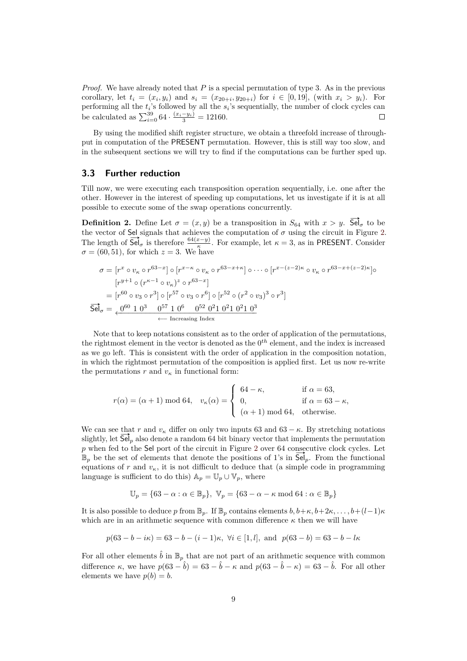*Proof.* We have already noted that *P* is a special permutation of type 3. As in the previous corollary, let  $t_i = (x_i, y_i)$  and  $s_i = (x_{20+i}, y_{20+i})$  for  $i \in [0, 19]$ , (with  $x_i > y_i$ ). For performing all the  $t_i$ 's followed by all the  $s_i$ 's sequentially, the number of clock cycles can be calculated as  $\sum_{i=0}^{39} 64 \cdot \frac{(x_i - y_i)}{3} = 12160.$ 

By using the modified shift register structure, we obtain a threefold increase of throughput in computation of the PRESENT permutation. However, this is still way too slow, and in the subsequent sections we will try to find if the computations can be further sped up.

#### **3.3 Further reduction**

Till now, we were executing each transposition operation sequentially, i.e. one after the other. However in the interest of speeding up computations, let us investigate if it is at all possible to execute some of the swap operations concurrently.

**Definition 2.** Define Let  $\sigma = (x, y)$  be a transposition in  $S_{64}$  with  $x > y$ . Sel<sub>σ</sub> to be the vector of Sel signals that achieves the computation of  $\sigma$  using the circuit in Figure [2.](#page-7-0) The length of  $\overrightarrow{Se}|_{\sigma}$  is therefore  $\frac{64(x-y)}{\kappa}$ . For example, let  $\kappa = 3$ , as in PRESENT. Consider  $\sigma = (60, 51)$ , for which  $z = 3$ . We have

$$
\sigma = [r^x \circ v_{\kappa} \circ r^{63-x}] \circ [r^{x-\kappa} \circ v_{\kappa} \circ r^{63-x+\kappa}] \circ \cdots \circ [r^{x-(z-2)\kappa} \circ v_{\kappa} \circ r^{63-x+(z-2)\kappa}] \circ
$$
  
\n
$$
[r^{y+1} \circ (r^{\kappa-1} \circ v_{\kappa})^z \circ r^{63-x}]
$$
  
\n
$$
= [r^{60} \circ v_3 \circ r^3] \circ [r^{57} \circ v_3 \circ r^6] \circ [r^{52} \circ (r^2 \circ v_3)^3 \circ r^3]
$$
  
\n
$$
\overline{Sel}_{\sigma} = \underbrace{0^{60} \cdot 1 \cdot 0^3 \cdot 0^{57} \cdot 1 \cdot 0^6 \cdot 0^{52} \cdot 0^2 \cdot 1 \cdot 0^2 \cdot 1 \cdot 0^3}_{\leftarrow \text{ Increasing Index}}
$$

Note that to keep notations consistent as to the order of application of the permutations, the rightmost element in the vector is denoted as the 0 *th* element, and the index is increased as we go left. This is consistent with the order of application in the composition notation, in which the rightmost permutation of the composition is applied first. Let us now re-write the permutations  $r$  and  $v_k$  in functional form:

$$
r(\alpha) = (\alpha + 1) \mod 64, \quad v_{\kappa}(\alpha) = \begin{cases} 64 - \kappa, & \text{if } \alpha = 63, \\ 0, & \text{if } \alpha = 63 - \kappa, \\ (\alpha + 1) \mod 64, & \text{otherwise.} \end{cases}
$$

We can see that *r* and  $v_{\kappa}$  differ on only two inputs 63 and 63 –  $\kappa$ . By stretching notations slightly, let  $\mathsf{Sel}_p$  also denote a random 64 bit binary vector that implements the permutation *p* when fed to the Sel port of the circuit in Figure [2](#page-7-0) over 64 consecutive clock cycles. Let  $\mathbb{B}_p$  be the set of elements that denote the positions of 1's in  $\mathsf{Sel}_p$ . From the functional equations of  $r$  and  $v<sub>\kappa</sub>$ , it is not difficult to deduce that (a simple code in programming language is sufficient to do this)  $\mathbb{A}_p = \mathbb{U}_p \cup \mathbb{V}_p$ , where

$$
\mathbb{U}_p = \{63 - \alpha : \alpha \in \mathbb{B}_p\}, \ \mathbb{V}_p = \{63 - \alpha - \kappa \bmod{64} : \alpha \in \mathbb{B}_p\}
$$

It is also possible to deduce *p* from  $\mathbb{B}_p$ . If  $\mathbb{B}_p$  contains elements  $b, b+\kappa, b+2\kappa, \ldots, b+(l-1)\kappa$ which are in an arithmetic sequence with common difference  $\kappa$  then we will have

$$
p(63 - b - i\kappa) = 63 - b - (i - 1)\kappa, \forall i \in [1, l], \text{ and } p(63 - b) = 63 - b - k\kappa
$$

For all other elements  $\hat{b}$  in  $\mathbb{B}_p$  that are not part of an arithmetic sequence with common difference  $\kappa$ , we have  $p(63 - \hat{b}) = 63 - \hat{b} - \kappa$  and  $p(63 - \hat{b} - \kappa) = 63 - \hat{b}$ . For all other elements we have  $p(b) = b$ .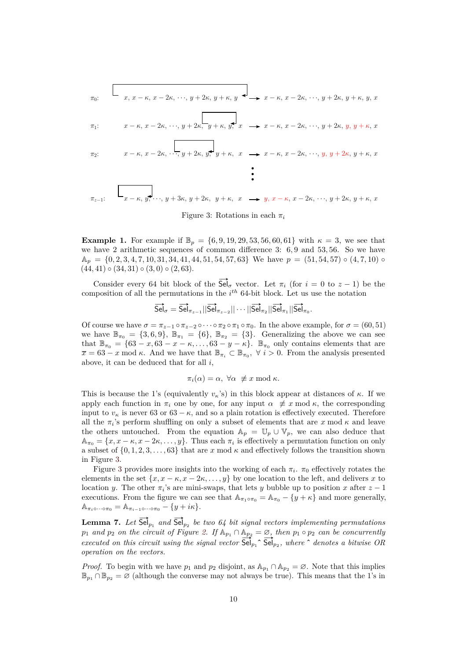<span id="page-9-0"></span>
$$
\pi_{0}: \quad x, x - \kappa, x - 2\kappa, \dots, y + 2\kappa, y + \kappa, y \leftrightarrow x - \kappa, x - 2\kappa, \dots, y + 2\kappa, y + \kappa, y, x
$$
\n
$$
\pi_{1}: \quad x - \kappa, x - 2\kappa, \dots, y + 2\kappa, \frac{1}{y + \kappa}, y, x \leftrightarrow x - \kappa, x - 2\kappa, \dots, y + 2\kappa, y, y + \kappa, x
$$
\n
$$
\pi_{2}: \quad x - \kappa, x - 2\kappa, \dots, y + 2\kappa, y, y + \kappa, x \leftrightarrow x - \kappa, x - 2\kappa, \dots, y, y + 2\kappa, y + \kappa, x
$$

Figure 3: Rotations in each  $\pi_i$ 

**Example 1.** For example if  $\mathbb{B}_p = \{6, 9, 19, 29, 53, 56, 60, 61\}$  with  $\kappa = 3$ , we see that we have 2 arithmetic sequences of common difference 3: 6*,* 9 and 53*,* 56. So we have  $\mathbb{A}_p = \{0, 2, 3, 4, 7, 10, 31, 34, 41, 44, 51, 54, 57, 63\}$  We have  $p = (51, 54, 57) \circ (4, 7, 10) \circ$ (44*,* 41) ◦ (34*,* 31) ◦ (3*,* 0) ◦ (2*,* 63).

Consider every 64 bit block of the  $\overrightarrow{Sel}_{\sigma}$  vector. Let  $\pi_i$  (for  $i = 0$  to  $z - 1$ ) be the composition of all the permutations in the *i th* 64-bit block. Let us use the notation

$$
\overrightarrow{Sel}_{\sigma} = \overrightarrow{Sel}_{\pi_{z-1}} || \overrightarrow{Sel}_{\pi_{z-2}} || \cdots || \overrightarrow{Sel}_{\pi_2} || \overrightarrow{Sel}_{\pi_1} || \overrightarrow{Sel}_{\pi_0}.
$$

Of course we have  $\sigma = \pi_{z-1} \circ \pi_{z-2} \circ \cdots \circ \pi_2 \circ \pi_1 \circ \pi_0$ . In the above example, for  $\sigma = (60, 51)$ we have  $\mathbb{B}_{\pi_0} = \{3, 6, 9\}, \mathbb{B}_{\pi_1} = \{6\}, \mathbb{B}_{\pi_2} = \{3\}.$  Generalizing the above we can see that  $\mathbb{B}_{\pi_0} = \{63 - x, 63 - x - \kappa, \ldots, 63 - y - \kappa\}$ .  $\mathbb{B}_{\pi_0}$  only contains elements that are  $\overline{x} = 63 - x \mod \kappa$ . And we have that  $\mathbb{B}_{\pi_i} \subset \mathbb{B}_{\pi_0}$ ,  $\forall i > 0$ . From the analysis presented above, it can be deduced that for all *i*,

$$
\pi_i(\alpha) = \alpha, \ \forall \alpha \not\equiv x \bmod \kappa.
$$

This is because the 1's (equivalently  $v_k$ 's) in this block appear at distances of  $\kappa$ . If we apply each function in  $\pi_i$  one by one, for any input  $\alpha \neq x \mod \kappa$ , the corresponding input to  $v_{\kappa}$  is never 63 or 63 –  $\kappa$ , and so a plain rotation is effectively executed. Therefore all the  $\pi_i$ 's perform shuffling on only a subset of elements that are  $x \mod \kappa$  and leave the others untouched. From the equation  $\mathbb{A}_p = \mathbb{U}_p \cup \mathbb{V}_p$ , we can also deduce that  $\mathbb{A}_{\pi_0} = \{x, x - \kappa, x - 2\kappa, \dots, y\}$ . Thus each  $\pi_i$  is effectively a permutation function on only a subset of  $\{0, 1, 2, 3, \ldots, 63\}$  that are *x* mod  $\kappa$  and effectively follows the transition shown in Figure [3.](#page-9-0)

Figure [3](#page-9-0) provides more insights into the working of each  $\pi_i$ .  $\pi_0$  effectively rotates the elements in the set  $\{x, x - \kappa, x - 2\kappa, \ldots, y\}$  by one location to the left, and delivers x to location *y*. The other  $\pi_i$ 's are mini-swaps, that lets *y* bubble up to position *x* after  $z - 1$ executions. From the figure we can see that  $\mathbb{A}_{\pi_1 \circ \pi_0} = \mathbb{A}_{\pi_0} - \{y + \kappa\}$  and more generally,  $\mathbb{A}_{\pi_i \circ \cdots \circ \pi_0} = \mathbb{A}_{\pi_{i-1} \circ \cdots \circ \pi_0} - \{y + i\kappa\}.$ 

<span id="page-9-1"></span>**Lemma 7.** Let  $\overrightarrow{Sel}_{p_1}$  and  $\overrightarrow{Sel}_{p_2}$  be two 64 bit signal vectors implementing permutations  $p_1$  and  $p_2$  on the circuit of Figure [2.](#page-7-0) If  $\mathbb{A}_{p_1} \cap \mathbb{A}_{p_2} = \emptyset$ , then  $p_1 \circ p_2$  can be concurrently executed on this circuit using the signal vector  $\overline{\mathsf{Sel}}_{p_1} \hat{\mathsf{Sel}}_{p_2}$ , where  $\hat{\mathsf{C}}$  denotes a b *operation on the vectors.*

*Proof.* To begin with we have  $p_1$  and  $p_2$  disjoint, as  $\mathbb{A}_{p_1} \cap \mathbb{A}_{p_2} = \emptyset$ . Note that this implies  $\mathbb{B}_{p_1} \cap \mathbb{B}_{p_2} = \varnothing$  (although the converse may not always be true). This means that the 1's in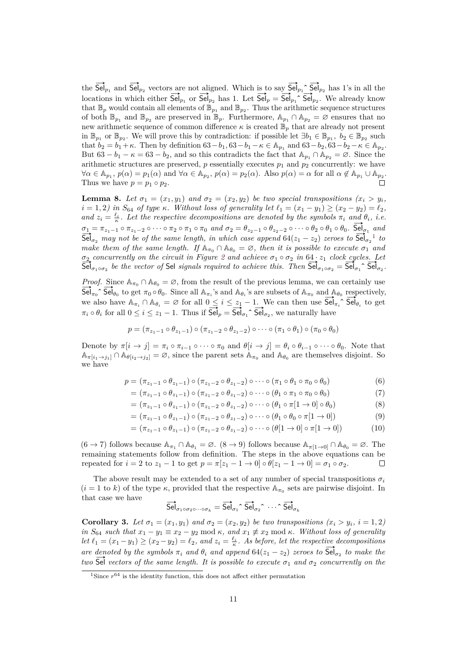the  $\overrightarrow{Sel}_{p_1}$  and  $\overrightarrow{Sel}_{p_2}$  vectors are not aligned. Which is to say  $\overrightarrow{Sel}_{p_1} \text{ }^{\frown}$   $\overrightarrow{Sel}_{p_2}$  has 1's in all the locations in which either  $\overline{\text{Sel}}_{p_1}$  or  $\overline{\text{Sel}}_{p_2}$  has 1. Let  $\overline{\text{Sel}}_p = \overline{\text{Sel}}_{p_1} \hat{\text{Sel}}_{p_2}$ . We already know that  $\mathbb{B}_p$  would contain all elements of  $\mathbb{B}_{p_1}$  and  $\mathbb{B}_{p_2}$ . Thus the arithmetic sequence structures of both  $\mathbb{B}_{p_1}$  and  $\mathbb{B}_{p_2}$  are preserved in  $\mathbb{B}_p$ . Furthermore,  $\mathbb{A}_{p_1} \cap \mathbb{A}_{p_2} = \emptyset$  ensures that no new arithmetic sequence of common difference  $\kappa$  is created  $\mathbb{B}_p$  that are already not present in  $\mathbb{B}_{p_1}$  or  $\mathbb{B}_{p_2}$ . We will prove this by contradiction: if possible let  $\exists b_1 \in \mathbb{B}_{p_1}, b_2 \in \mathbb{B}_{p_2}$  such that  $b_2 = b_1 + \kappa$ . Then by definition  $63 - b_1$ ,  $63 - b_1 - \kappa \in \mathbb{A}_{p_1}$  and  $63 - b_2$ ,  $63 - b_2 - \kappa \in \mathbb{A}_{p_2}$ . But  $63 - b_1 - \kappa = 63 - b_2$ , and so this contradicts the fact that  $\mathbb{A}_{p_1} \cap \mathbb{A}_{p_2} = \emptyset$ . Since the arithmetic structures are preserved,  $p$  essentially executes  $p_1$  and  $p_2$  concurrently: we have  $\forall \alpha \in \mathbb{A}_{p_1}, p(\alpha) = p_1(\alpha)$  and  $\forall \alpha \in \mathbb{A}_{p_2}, p(\alpha) = p_2(\alpha)$ . Also  $p(\alpha) = \alpha$  for all  $\alpha \notin \mathbb{A}_{p_1} \cup \mathbb{A}_{p_2}$ . Thus we have  $p = p_1 \circ p_2$ .

<span id="page-10-1"></span>**Lemma 8.** *Let*  $\sigma_1 = (x_1, y_1)$  *and*  $\sigma_2 = (x_2, y_2)$  *be two special transpositions*  $(x_i > y_i)$  $i = 1, 2$ *) in*  $S_{64}$  *of type*  $\kappa$ *. Without loss of generality let*  $\ell_1 = (x_1 - y_1) \ge (x_2 - y_2) = \ell_2$ *, and*  $z_i = \frac{\ell_i}{\kappa}$ . Let the respective decompositions are denoted by the symbols  $\pi_i$  and  $\theta_i$ , i.e.  $\sigma_1 = \pi_{z_1-1} \circ \pi_{z_1-2} \circ \cdots \circ \pi_2 \circ \pi_1 \circ \pi_0$  and  $\sigma_2 = \theta_{z_2-1} \circ \theta_{z_2-2} \circ \cdots \circ \theta_2 \circ \theta_1 \circ \theta_0$ . See  $\sigma_1$  and  $\overline{Sel}_{\sigma_2}$  *may not be of the same length, in which case append*  $64(z_1 - z_2)$  $64(z_1 - z_2)$  $64(z_1 - z_2)$  *zeroes to*  $\overline{Sel}_{\sigma_2}$ <sup>1</sup> *to*<br> $\overline{Sel}_{\sigma_2}$ <sup>1</sup> *to make them of the same length.* If  $\mathbb{A}_{\pi_0} \cap \mathbb{A}_{\theta_0} = \emptyset$ , then it is possible to execute  $\sigma_1$  and  $\sigma_2$  $\sigma_2$  *concurrently on the circuit in Figure 2 and achieve*  $\sigma_1 \circ \sigma_2$  *in* 64 · *z*<sub>1</sub> *clock cycles. Let*  $\sigma_2$  concurrently on the circuit in Figure 2 and achieve  $\sigma_1 \circ \sigma_2$  in  $64 \cdot z_1$  clock cycles. Let  $\text{Sel}_{\sigma_1 \circ \sigma_2}$  be the vector of Sel *signals required to achieve this. Then*  $\text{Sel}_{\sigma_1 \circ \sigma_2} = \text{Sel}_{\sigma_1} \, \text{Sel}_{\sigma$ 

*Proof.* Since  $\mathbb{A}_{\pi_0} \cap \mathbb{A}_{\theta_0} = \emptyset$ , from the result of the previous lemma, we can certainly use  $\frac{F_1}{\text{Sel}_{\pi_0}}$ . Since  $\mathbb{A}_{\pi_0} \cap \mathbb{A}_{\theta_0} = \emptyset$ , from the result of the previous lemma, we can certainly use<br> $\overline{\text{Sel}}_{\pi_0} \cap \overline{\text{Sel}}_{\theta_0}$  to get  $\pi_0 \circ \theta_0$ . Since all  $\mathbb{A}_{\pi_i}$ 's and  $\mathbb{A}_{\theta_i}$ 's are  $\sum_{i=1}^{\infty} \sum_{i=1}^{\infty} \sum_{j=1}^{\infty} \sum_{j=1}^{\infty} \sum_{j=1}^{\infty} \sum_{j=1}^{\infty} \sum_{j=1}^{\infty} \sum_{j=1}^{\infty} \sum_{j=1}^{\infty} \sum_{j=1}^{\infty} \sum_{j=1}^{\infty} \sum_{j=1}^{\infty} \sum_{j=1}^{\infty} \sum_{j=1}^{\infty} \sum_{j=1}^{\infty} \sum_{j=1}^{\infty} \sum_{j=1}^{\infty} \sum_{j=1}^{\infty} \sum_{j$ we also have  $A_{\pi_i}$   $\mapsto A_{\theta_i} = \emptyset$  for all  $0 \le i \le z_1 - 1$ . We can then use  $3e^{i\lambda_i}$ <br>  $\pi_i \circ \theta_i$  for all  $0 \le i \le z_1 - 1$ . Thus if  $\overline{Sel}_p = \overline{Sel}_{\sigma_1} \hat{\searrow} \overline{Sel}_{\sigma_2}$ , we naturally have

$$
p = (\pi_{z_1-1} \circ \theta_{z_1-1}) \circ (\pi_{z_1-2} \circ \theta_{z_1-2}) \circ \cdots \circ (\pi_1 \circ \theta_1) \circ (\pi_0 \circ \theta_0)
$$

Denote by  $\pi[i \to j] = \pi_i \circ \pi_{i-1} \circ \cdots \circ \pi_0$  and  $\theta[i \to j] = \theta_i \circ \theta_{i-1} \circ \cdots \circ \theta_0$ . Note that  $\mathbb{A}_{\pi[i_1\to j_1]} \cap \mathbb{A}_{\theta[i_2\to j_2]} = \emptyset$ , since the parent sets  $\mathbb{A}_{\pi_0}$  and  $\mathbb{A}_{\theta_0}$  are themselves disjoint. So we have

$$
p = (\pi_{z_1-1} \circ \theta_{z_1-1}) \circ (\pi_{z_1-2} \circ \theta_{z_1-2}) \circ \cdots \circ (\pi_1 \circ \theta_1 \circ \pi_0 \circ \theta_0)
$$
(6)

$$
= (\pi_{z_1-1} \circ \theta_{z_1-1}) \circ (\pi_{z_1-2} \circ \theta_{z_1-2}) \circ \cdots \circ (\theta_1 \circ \pi_1 \circ \pi_0 \circ \theta_0)
$$
\n
$$
(7)
$$

$$
= (\pi_{z_1-1} \circ \theta_{z_1-1}) \circ (\pi_{z_1-2} \circ \theta_{z_1-2}) \circ \cdots \circ (\theta_1 \circ \pi[1 \to 0] \circ \theta_0)
$$
\n(8)

$$
= (\pi_{z_1-1} \circ \theta_{z_1-1}) \circ (\pi_{z_1-2} \circ \theta_{z_1-2}) \circ \cdots \circ (\theta_1 \circ \theta_0 \circ \pi[1 \to 0])
$$
\n(9)

$$
= (\pi_{z_1 - 1} \circ \theta_{z_1 - 1}) \circ (\pi_{z_1 - 2} \circ \theta_{z_1 - 2}) \circ \cdots \circ (\theta[1 \to 0] \circ \pi[1 \to 0])
$$
(10)

 $(6 \rightarrow 7)$  follows because  $\mathbb{A}_{\pi_1} \cap \mathbb{A}_{\theta_1} = \emptyset$ .  $(8 \rightarrow 9)$  follows because  $\mathbb{A}_{\pi[1 \rightarrow 0]} \cap \mathbb{A}_{\theta_0} = \emptyset$ . The remaining statements follow from definition. The steps in the above equations can be repeated for  $i = 2$  to  $z_1 - 1$  to get  $p = \pi[z_1 - 1 \to 0] \circ \theta[z_1 - 1 \to 0] = \sigma_1 \circ \sigma_2$ .  $\Box$ 

The above result may be extended to a set of any number of special transpositions  $\sigma_i$  $(i = 1$  to *k*) of the type *κ*, provided that the respective  $\mathbb{A}_{\pi_0}$  sets are pairwise disjoint. In that case we have

$$
\overrightarrow{\textup{Sel}}_{\sigma_1 \circ \sigma_2 \circ \cdots \circ \sigma_k} = \overrightarrow{\textup{Sel}}_{\sigma_1} \hat{\ } \overrightarrow{\textup{Sel}}_{\sigma_2} \hat{\ } \cdots \hat{\ } \overrightarrow{\textup{Sel}}_{\sigma_k}
$$

<span id="page-10-2"></span>**Corollary 3.** Let  $\sigma_1 = (x_1, y_1)$  and  $\sigma_2 = (x_2, y_2)$  be two transpositions  $(x_i > y_i, i = 1, 2)$ *in*  $S_{64}$  *such that*  $x_1 - y_1 \equiv x_2 - y_2 \mod \kappa$ , and  $x_1 \not\equiv x_2 \mod \kappa$ . Without loss of generality Let  $\ell_1 = (x_1 - y_1) \ge (x_2 - y_2) = \ell_2$ , and  $z_i = \frac{\ell_i}{\kappa}$ . As before, let the respective decompositions *are denoted by the symbols*  $\pi_i$  *and*  $\theta_i$  *and append*  $64(z_1 - z_2)$  *zeroes to*  $\overline{Sel}_{\sigma_2}$  *to make the two*  $\overline{Sel}$  *vectors of the same length. It is possible to execute*  $\sigma_1$  *and*  $\sigma_2$  *concurrently on the* 

<span id="page-10-0"></span><sup>&</sup>lt;sup>1</sup>Since  $r^{64}$  is the identity function, this does not affect either permutation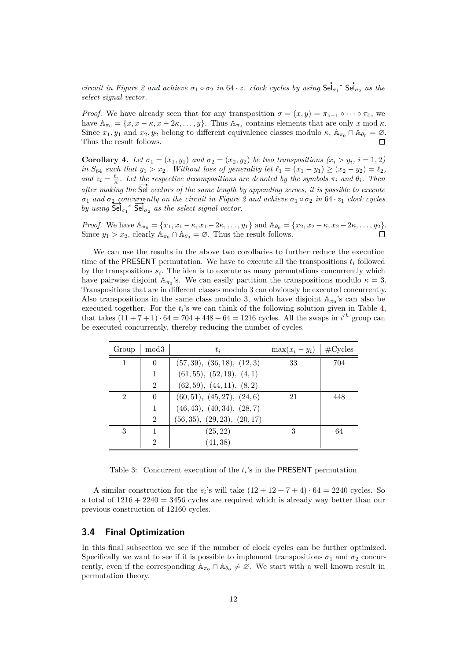*circuit in Figure [2](#page-7-0) and achieve*  $\sigma_1 \circ \sigma_2$  *in*  $64 \cdot z_1$  *clock cycles by using*  $\overrightarrow{Sel}_{\sigma_1} \circ \overrightarrow{Sel}_{\sigma_2}$  *as the select signal vector.*

*Proof.* We have already seen that for any transposition  $\sigma = (x, y) = \pi_{z-1} \circ \cdots \circ \pi_0$ , we have  $\mathbb{A}_{\pi_0} = \{x, x - \kappa, x - 2\kappa, \dots, y\}$ . Thus  $\mathbb{A}_{\pi_0}$  contains elements that are only *x* mod  $\kappa$ . Since  $x_1, y_1$  and  $x_2, y_2$  belong to different equivalence classes modulo  $\kappa$ ,  $\mathbb{A}_{\pi_0} \cap \mathbb{A}_{\theta_0} = \emptyset$ . Thus the result follows.  $\Box$ 

**Corollary 4.** Let  $\sigma_1 = (x_1, y_1)$  and  $\sigma_2 = (x_2, y_2)$  be two transpositions  $(x_i > y_i, i = 1, 2)$ *in*  $S_{64}$  *such that*  $y_1 > x_2$ *. Without loss of generality let*  $\ell_1 = (x_1 - y_1) \ge (x_2 - y_2) = \ell_2$ *, and*  $z_i = \frac{\ell_i}{\kappa}$ . Let the respective decompositions are denoted by the symbols  $\pi_i$  *and*  $\theta_i$ *. Then* after making the  $\overline{\mathsf{Sel}}$  vectors of the same length by appending zeroes, it is possible to execute *σ*<sup>1</sup> *and σ*<sup>2</sup> *concurrently on the circuit in Figure [2](#page-7-0) and achieve σ*<sup>1</sup> ◦ *σ*<sup>2</sup> *in* 64 · *z*<sup>1</sup> *clock cycles b*<sub>1</sub> and  $\sigma_2$  concurrently on the circuit in Figure by using  $\overline{\text{Sel}}_{\sigma_1} \hat{\ } \overline{\text{Sel}}_{\sigma_2}$  as the select signal vector.

*Proof.* We have  $\mathbb{A}_{\pi_0} = \{x_1, x_1 - \kappa, x_1 - 2\kappa, \dots, y_1\}$  and  $\mathbb{A}_{\theta_0} = \{x_2, x_2 - \kappa, x_2 - 2\kappa, \dots, y_2\}.$ Since  $y_1 > x_2$ , clearly  $\mathbb{A}_{\pi_0} \cap \mathbb{A}_{\theta_0} = \emptyset$ . Thus the result follows.

We can use the results in the above two corollaries to further reduce the execution time of the PRESENT permutation. We have to execute all the transpositions  $t_i$  followed by the transpositions  $s_i$ . The idea is to execute as many permutations concurrently which have pairwise disjoint  $A_{\pi_0}$ 's. We can easily partition the transpositions modulo  $\kappa = 3$ . Transpositions that are in different classes modulo 3 can obviously be executed concurrently. Also transpositions in the same class modulo 3, which have disjoint  $A_{\pi_0}$ 's can also be executed together. For the  $t_i$ 's we can think of the following solution given in Table [4,](#page-12-0) that takes  $(11 + 7 + 1) \cdot 64 = 704 + 448 + 64 = 1216$  cycles. All the swaps in  $i^{th}$  group can be executed concurrently, thereby reducing the number of cycles.

| Group          | mod <sub>3</sub> | $t_i$                        | $\max(x_i - y_i)$   #Cycles |     |
|----------------|------------------|------------------------------|-----------------------------|-----|
| 1              | $\Omega$         | (57, 39), (36, 18), (12, 3)  | 33                          | 704 |
|                |                  | (61, 55), (52, 19), (4, 1)   |                             |     |
|                | $\mathfrak{D}$   | (62, 59), (44, 11), (8, 2)   |                             |     |
| $\overline{2}$ | $\Omega$         | (60, 51), (45, 27), (24, 6)  | 21                          | 448 |
|                |                  | (46, 43), (40, 34), (28, 7)  |                             |     |
|                | $\overline{2}$   | (56, 35), (29, 23), (20, 17) |                             |     |
| 3              |                  | (25, 22)                     | 3                           | 64  |
|                | 2                | (41, 38)                     |                             |     |

Table 3: Concurrent execution of the  $t_i$ 's in the PRESENT permutation

A similar construction for the  $s_i$ 's will take  $(12 + 12 + 7 + 4) \cdot 64 = 2240$  cycles. So a total of  $1216 + 2240 = 3456$  cycles are required which is already way better than our previous construction of 12160 cycles.

#### **3.4 Final Optimization**

In this final subsection we see if the number of clock cycles can be further optimized. Specifically we want to see if it is possible to implement transpositions  $\sigma_1$  and  $\sigma_2$  concurrently, even if the corresponding  $\mathbb{A}_{\pi_0} \cap \mathbb{A}_{\theta_0} \neq \emptyset$ . We start with a well known result in permutation theory.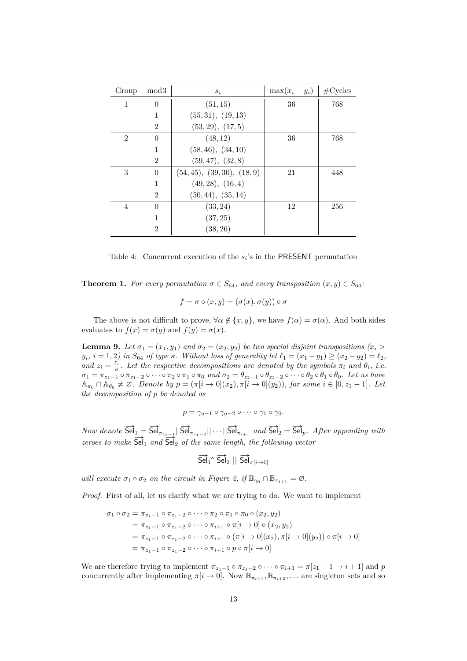<span id="page-12-0"></span>

| Group          | mod <sub>3</sub> | $s_i$                       | $\max(x_i - y_i)$ | $\#Cycles$ |
|----------------|------------------|-----------------------------|-------------------|------------|
| 1              | $\Omega$         | (51, 15)                    | 36                | 768        |
|                | 1                | (55, 31), (19, 13)          |                   |            |
|                | $\mathfrak{D}$   | (53, 29), (17, 5)           |                   |            |
| $\mathfrak{D}$ | $\theta$         | (48, 12)                    | 36                | 768        |
|                |                  | (58, 46), (34, 10)          |                   |            |
|                | $\overline{2}$   | (59, 47), (32, 8)           |                   |            |
| 3              | $\theta$         | (54, 45), (39, 30), (18, 9) | 21                | 448        |
|                | 1                | (49, 28), (16, 4)           |                   |            |
|                | $\overline{2}$   | (50, 44), (35, 14)          |                   |            |
| $\overline{4}$ | $\Omega$         | (33, 24)                    | 12                | 256        |
|                | $\mathbf{1}$     | (37, 25)                    |                   |            |
|                | $\overline{2}$   | (38, 26)                    |                   |            |

Table 4: Concurrent execution of the  $s_i$ 's in the PRESENT permutation

**Theorem 1.** *For every permutation*  $\sigma \in S_{64}$ *, and every transposition*  $(x, y) \in S_{64}$ *:* 

$$
f = \sigma \circ (x, y) = (\sigma(x), \sigma(y)) \circ \sigma
$$

The above is not difficult to prove,  $\forall \alpha \notin \{x, y\}$ , we have  $f(\alpha) = \sigma(\alpha)$ . And both sides evaluates to  $f(x) = \sigma(y)$  and  $f(y) = \sigma(x)$ .

<span id="page-12-1"></span>**Lemma 9.** *Let*  $\sigma_1 = (x_1, y_1)$  *and*  $\sigma_2 = (x_2, y_2)$  *be two special disjoint transpositions*  $(x_i >$  $y_i$ ,  $i = 1, 2$ ) in  $S_{64}$  of type  $\kappa$ . Without loss of generality let  $\ell_1 = (x_1 - y_1) \ge (x_2 - y_2) = \ell_2$ , *and*  $z_i = \frac{\ell_i}{\kappa}$ . Let the respective decompositions are denoted by the symbols  $\pi_i$  *and*  $\theta_i$ *, i.e.*  $\sigma_1 = \pi_{z_1-1} \circ \pi_{z_1-2} \circ \cdots \circ \pi_2 \circ \pi_1 \circ \pi_0$  and  $\sigma_2 = \theta_{z_2-1} \circ \theta_{z_2-2} \circ \cdots \circ \theta_2 \circ \theta_1 \circ \theta_0$ . Let us have  $\mathbb{A}_{\pi_0} \cap \mathbb{A}_{\theta_0} \neq \emptyset$ . Denote by  $p = (\pi[i \to 0](x_2), \pi[i \to 0](y_2))$ , for some  $i \in [0, z_1 - 1]$ . Let *the decomposition of p be denoted as*

$$
p = \gamma_{q-1} \circ \gamma_{q-2} \circ \cdots \circ \gamma_1 \circ \gamma_0.
$$

 $Now \ denote \ \overrightarrow{\textsf{Sel}}_1 = \overrightarrow{\textsf{Sel}}_{\pi_{z_1-1}} || \overrightarrow{\textsf{Sel}}_{\pi_{z_1-2}} || \cdots || \overrightarrow{\textsf{Sel}}_{\pi_{i+1}} \ \ and \ \overrightarrow{\textsf{Sel}}_2 = \overrightarrow{\textsf{Sel}}_p$ *. After appending with zeroes to make*  $\overrightarrow{Sel}_1$  *and*  $\overrightarrow{Sel}_2$  *of the same length, the following vector* 

$$
\overrightarrow{\text{Sel}}_1 \hat{S} \overrightarrow{\text{Sel}}_2 \parallel \overrightarrow{\text{Sel}}_{\pi[i \to 0]}
$$

*will execute*  $\sigma_1 \circ \sigma_2$  *on the circuit in Figure [2,](#page-7-0) if*  $\mathbb{B}_{\gamma_0} \cap \mathbb{B}_{\pi_{i+1}} = \emptyset$ .

*Proof.* First of all, let us clarify what we are trying to do. We want to implement

$$
\sigma_1 \circ \sigma_2 = \pi_{z_1 - 1} \circ \pi_{z_1 - 2} \circ \cdots \circ \pi_2 \circ \pi_1 \circ \pi_0 \circ (x_2, y_2)
$$
  
=  $\pi_{z_1 - 1} \circ \pi_{z_1 - 2} \circ \cdots \circ \pi_{i+1} \circ \pi[i \to 0] \circ (x_2, y_2)$   
=  $\pi_{z_1 - 1} \circ \pi_{z_1 - 2} \circ \cdots \circ \pi_{i+1} \circ (\pi[i \to 0](x_2), \pi[i \to 0](y_2)) \circ \pi[i \to 0]$   
=  $\pi_{z_1 - 1} \circ \pi_{z_1 - 2} \circ \cdots \circ \pi_{i+1} \circ p \circ \pi[i \to 0]$ 

We are therefore trying to implement  $\pi_{z_1-1} \circ \pi_{z_1-2} \circ \cdots \circ \pi_{i+1} = \pi[z_1-1 \to i+1]$  and *p* concurrently after implementing  $\pi[i \to 0]$ . Now  $\mathbb{B}_{\pi_{i+1}}, \mathbb{B}_{\pi_{i+2}}, \dots$  are singleton sets and so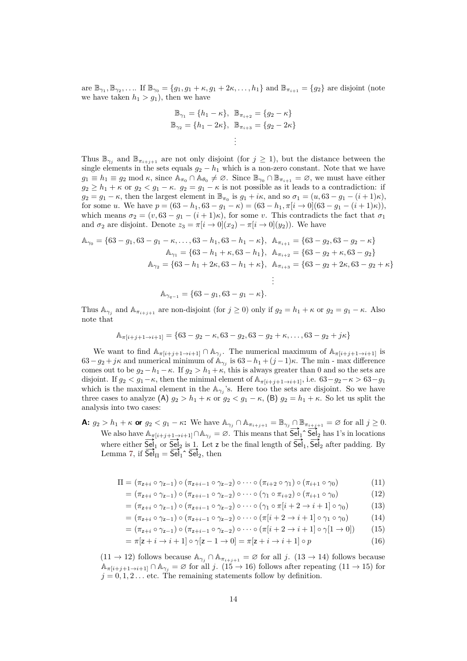are  $\mathbb{B}_{\gamma_1}, \mathbb{B}_{\gamma_2}, \ldots$  If  $\mathbb{B}_{\gamma_0} = \{g_1, g_1 + \kappa, g_1 + 2\kappa, \ldots, h_1\}$  and  $\mathbb{B}_{\pi_{i+1}} = \{g_2\}$  are disjoint (note we have taken  $h_1 > g_1$ ), then we have

$$
\mathbb{B}_{\gamma_1} = \{h_1 - \kappa\}, \quad \mathbb{B}_{\pi_{i+2}} = \{g_2 - \kappa\}
$$
  

$$
\mathbb{B}_{\gamma_2} = \{h_1 - 2\kappa\}, \quad \mathbb{B}_{\pi_{i+3}} = \{g_2 - 2\kappa\}
$$
  

$$
\vdots
$$

Thus  $\mathbb{B}_{\gamma_j}$  and  $\mathbb{B}_{\pi_{i+j+1}}$  are not only disjoint (for  $j \geq 1$ ), but the distance between the single elements in the sets equals  $g_2 - h_1$  which is a non-zero constant. Note that we have  $g_1 \equiv h_1 \equiv g_2 \mod \kappa$ , since  $\mathbb{A}_{\pi_0} \cap \mathbb{A}_{\theta_0} \neq \emptyset$ . Since  $\mathbb{B}_{\gamma_0} \cap \mathbb{B}_{\pi_{i+1}} = \emptyset$ , we must have either  $g_2 \geq h_1 + \kappa$  or  $g_2 < g_1 - \kappa$ .  $g_2 = g_1 - \kappa$  is not possible as it leads to a contradiction: if  $g_2 = g_1 - \kappa$ , then the largest element in  $\mathbb{B}_{\pi_0}$  is  $g_1 + i\kappa$ , and so  $\sigma_1 = (u, 63 - g_1 - (i + 1)\kappa)$ , for some *u*. We have  $p = (63 - h_1, 63 - g_1 - \kappa) = (63 - h_1, \pi[i \rightarrow 0](63 - g_1 - (i + 1)\kappa)),$ which means  $\sigma_2 = (v, 63 - g_1 - (i + 1)\kappa)$ , for some *v*. This contradicts the fact that  $\sigma_1$ and  $\sigma_2$  are disjoint. Denote  $z_3 = \pi[i \rightarrow 0](x_2) - \pi[i \rightarrow 0](y_2)$ . We have

$$
\mathbb{A}_{\gamma_0} = \{63 - g_1, 63 - g_1 - \kappa, \dots, 63 - h_1, 63 - h_1 - \kappa\}, \quad \mathbb{A}_{\pi_{i+1}} = \{63 - g_2, 63 - g_2 - \kappa\}
$$
\n
$$
\mathbb{A}_{\gamma_1} = \{63 - h_1 + \kappa, 63 - h_1\}, \quad \mathbb{A}_{\pi_{i+2}} = \{63 - g_2 + \kappa, 63 - g_2\}
$$
\n
$$
\mathbb{A}_{\gamma_2} = \{63 - h_1 + 2\kappa, 63 - h_1 + \kappa\}, \quad \mathbb{A}_{\pi_{i+3}} = \{63 - g_2 + 2\kappa, 63 - g_2 + \kappa\}
$$
\n
$$
\vdots
$$

$$
\mathbb{A}_{\gamma_{q-1}} = \{63 - g_1, 63 - g_1 - \kappa\}.
$$

Thus  $\mathbb{A}_{\gamma_j}$  and  $\mathbb{A}_{\pi_{i+j+1}}$  are non-disjoint (for  $j \geq 0$ ) only if  $g_2 = h_1 + \kappa$  or  $g_2 = g_1 - \kappa$ . Also note that

$$
\mathbb{A}_{\pi[i+j+1\to i+1]} = \{63 - g_2 - \kappa, 63 - g_2, 63 - g_2 + \kappa, \dots, 63 - g_2 + j\kappa\}
$$

We want to find  $\mathbb{A}_{\pi[i+j+1\to i+1]} \cap \mathbb{A}_{\gamma_j}$ . The numerical maximum of  $\mathbb{A}_{\pi[i+j+1\to i+1]}$  is 63 –  $g_2 + j\kappa$  and numerical minimum of  $\mathbb{A}_{\gamma_j}$  is 63 –  $h_1 + (j-1)\kappa$ . The min - max difference comes out to be  $g_2 - h_1 - \kappa$ . If  $g_2 > h_1 + \kappa$ , this is always greater than 0 and so the sets are disjoint. If  $g_2 < g_1 - \kappa$ , then the minimal element of  $\mathbb{A}_{\pi[i+j+1\to i+1]}$ , i.e.  $63-g_2-\kappa > 63-g_1$ which is the maximal element in the  $\mathbb{A}_{\gamma_j}$ 's. Here too the sets are disjoint. So we have three cases to analyze (A)  $g_2 > h_1 + \kappa$  or  $g_2 < g_1 - \kappa$ , (B)  $g_2 = h_1 + \kappa$ . So let us split the analysis into two cases:

**A:**  $g_2 > h_1 + \kappa$  or  $g_2 < g_1 - \kappa$ : We have  $\mathbb{A}_{\gamma_j} \cap \mathbb{A}_{\pi_{i+j+1}} = \mathbb{B}_{\gamma_j} \cap \mathbb{B}_{\pi_{i+j+1}} = \varnothing$  for all  $j \geq 0$ .  $W = \sum_{i=1}^n A_i + \sum_{i=1}^n A_i + \sum_{i=1}^n A_i$  we have  $A_{\pi(i+1)+1} = A_{\pi(i+1)+1} = \sum_{i=1}^n A_{\pi(i+1)+1} = \sum_{i=1}^n A_{\pi(i+1)+1} = \sum_{i=1}^n A_{\pi(i+1)+1} = \sum_{i=1}^n A_{\pi(i+1)+1} = \sum_{i=1}^n A_{\pi(i+1)+1} = \sum_{i=1}^n A_{\pi(i+1)+1} = \sum_{i=1}^n A_{\pi(i+1)+1} = \sum_{i=1}^n A$ we also have  $\frac{R_{\pi}[i+j+1\rightarrow i+1] \cap R_{\gamma_j}}{Sel_1}$  or  $\frac{Sel_2}{Sel_2}$  is 1. Let z be the final length of  $\frac{Sel_1}{Sel_1}$ ,  $\frac{Sel_2}{Sel_2}$  after padding. By where either  $\frac{5el_1}{5el_1}$  or  $\frac{5el_2}{5el_1}$  is 1. Let z<br>Lemma [7,](#page-9-1) if  $\frac{5el_1}{5el_1}$   $\frac{5el_2}{5el_2}$ , then

$$
\Pi = (\pi_{z+i} \circ \gamma_{z-1}) \circ (\pi_{z+i-1} \circ \gamma_{z-2}) \circ \cdots \circ (\pi_{i+2} \circ \gamma_1) \circ (\pi_{i+1} \circ \gamma_0)
$$
(11)

$$
= (\pi_{z+i} \circ \gamma_{z-1}) \circ (\pi_{z+i-1} \circ \gamma_{z-2}) \circ \cdots \circ (\gamma_1 \circ \pi_{i+2}) \circ (\pi_{i+1} \circ \gamma_0)
$$
(12)

$$
= (\pi_{z+i} \circ \gamma_{z-1}) \circ (\pi_{z+i-1} \circ \gamma_{z-2}) \circ \cdots \circ (\gamma_1 \circ \pi[i+2 \to i+1] \circ \gamma_0)
$$
(13)

$$
= (\pi_{z+i} \circ \gamma_{z-1}) \circ (\pi_{z+i-1} \circ \gamma_{z-2}) \circ \cdots \circ (\pi[i+2 \to i+1] \circ \gamma_1 \circ \gamma_0)
$$
(14)

<span id="page-13-0"></span>
$$
= (\pi_{z+i} \circ \gamma_{z-1}) \circ (\pi_{z+i-1} \circ \gamma_{z-2}) \circ \cdots \circ (\pi[i+2 \to i+1] \circ \gamma[1 \to 0]) \tag{15}
$$

$$
= \pi[z + i \to i + 1] \circ \gamma[z - 1 \to 0] = \pi[z + i \to i + 1] \circ p \tag{16}
$$

 $(11 \rightarrow 12)$  follows because  $\mathbb{A}_{\gamma_j} \cap \mathbb{A}_{\pi_{i+j+1}} = \emptyset$  for all *j*.  $(13 \rightarrow 14)$  follows because  $\mathbb{A}_{\pi[i+j+1\to i+1]} \cap \mathbb{A}_{\gamma_i} = \varnothing$  for all *j*. (15  $\to$  16) follows after repeating (11  $\to$  15) for  $j = 0, 1, 2...$  etc. The remaining statements follow by definition.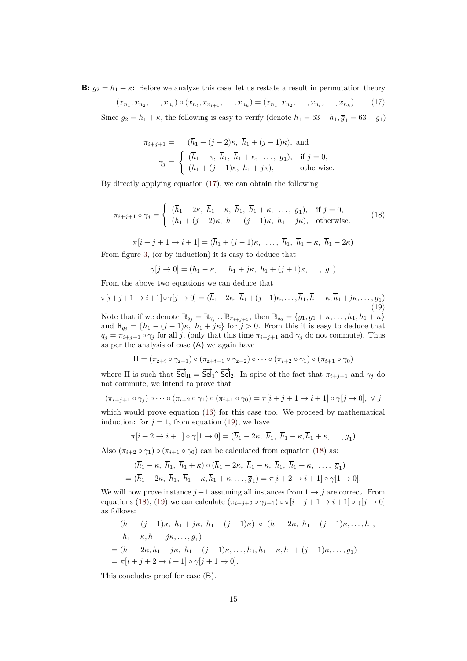**B:**  $g_2 = h_1 + \kappa$ : Before we analyze this case, let us restate a result in permutation theory

<span id="page-14-0"></span>
$$
(x_{n_1}, x_{n_2}, \dots, x_{n_l}) \circ (x_{n_l}, x_{n_{l+1}}, \dots, x_{n_k}) = (x_{n_1}, x_{n_2}, \dots, x_{n_l}, \dots, x_{n_k}).
$$
 (17)

Since  $g_2 = h_1 + \kappa$ , the following is easy to verify (denote  $\overline{h}_1 = 63 - h_1$ ,  $\overline{g}_1 = 63 - g_1$ )

$$
\pi_{i+j+1} = (\overline{h}_1 + (j-2)\kappa, \ \overline{h}_1 + (j-1)\kappa), \text{ and}
$$

$$
\gamma_j = \begin{cases} (\overline{h}_1 - \kappa, \ \overline{h}_1, \ \overline{h}_1 + \kappa, \ \dots, \ \overline{g}_1), & \text{if } j = 0, \\ (\overline{h}_1 + (j-1)\kappa, \ \overline{h}_1 + j\kappa), & \text{otherwise.} \end{cases}
$$

By directly applying equation [\(17\)](#page-14-0), we can obtain the following

<span id="page-14-2"></span>
$$
\pi_{i+j+1} \circ \gamma_j = \begin{cases} (\overline{h}_1 - 2\kappa, \ \overline{h}_1 - \kappa, \ \overline{h}_1, \ \overline{h}_1 + \kappa, \ \dots, \ \overline{g}_1), & \text{if } j = 0, \\ (\overline{h}_1 + (j-2)\kappa, \ \overline{h}_1 + (j-1)\kappa, \ \overline{h}_1 + j\kappa), & \text{otherwise.} \end{cases}
$$
(18)

 $\pi[i + j + 1 \rightarrow i + 1] = (\bar{h}_1 + (j - 1)\kappa, \dots, \bar{h}_1, \bar{h}_1 - \kappa, \bar{h}_1 - 2\kappa)$ 

From figure [3,](#page-9-0) (or by induction) it is easy to deduce that

$$
\gamma[j \to 0] = (\overline{h}_1 - \kappa, \quad \overline{h}_1 + j\kappa, \ \overline{h}_1 + (j+1)\kappa, \dots, \ \overline{g}_1)
$$

From the above two equations we can deduce that

<span id="page-14-1"></span>
$$
\pi[i+j+1 \to i+1] \circ \gamma[j \to 0] = (\overline{h}_1 - 2\kappa, \ \overline{h}_1 + (j-1)\kappa, \dots, \overline{h}_1, \overline{h}_1 - \kappa, \overline{h}_1 + j\kappa, \dots, \overline{g}_1)
$$
\n(19)

Note that if we denote  $\mathbb{B}_{q_j} = \mathbb{B}_{\gamma_j} \cup \mathbb{B}_{\pi_{i+j+1}}$ , then  $\mathbb{B}_{q_0} = \{g_1, g_1 + \kappa, \ldots, h_1, h_1 + \kappa\}$ and  $\mathbb{B}_{q_j} = \{h_1 - (j-1)\kappa, h_1 + j\kappa\}$  for  $j > 0$ . From this it is easy to deduce that  $q_j = \pi_{i+j+1} \circ \gamma_j$  for all *j*, (only that this time  $\pi_{i+j+1}$  and  $\gamma_j$  do not commute). Thus as per the analysis of case (A) we again have

$$
\Pi = (\pi_{z+i} \circ \gamma_{z-1}) \circ (\pi_{z+i-1} \circ \gamma_{z-2}) \circ \cdots \circ (\pi_{i+2} \circ \gamma_1) \circ (\pi_{i+1} \circ \gamma_0)
$$

where  $\Pi$  is such that  $\overrightarrow{Sel}_{\Pi} = \overrightarrow{Sel}_{1} \cap \overrightarrow{Sel}_{2}$ . In spite of the fact that  $\pi_{i+j+1}$  and  $\gamma_j$  do not commute, we intend to prove that

$$
(\pi_{i+j+1} \circ \gamma_j) \circ \cdots \circ (\pi_{i+2} \circ \gamma_1) \circ (\pi_{i+1} \circ \gamma_0) = \pi[i+j+1 \to i+1] \circ \gamma[j \to 0], \ \forall \ j
$$

which would prove equation [\(16\)](#page-13-0) for this case too. We proceed by mathematical induction: for  $j = 1$ , from equation [\(19\)](#page-14-1), we have

$$
\pi[i+2 \to i+1] \circ \gamma[1 \to 0] = (\overline{h}_1 - 2\kappa, \ \overline{h}_1, \ \overline{h}_1 - \kappa, \overline{h}_1 + \kappa, \dots, \overline{g}_1)
$$

Also  $(\pi_{i+2} \circ \gamma_1) \circ (\pi_{i+1} \circ \gamma_0)$  can be calculated from equation [\(18\)](#page-14-2) as:

$$
(\overline{h}_1 - \kappa, \ \overline{h}_1, \ \overline{h}_1 + \kappa) \circ (\overline{h}_1 - 2\kappa, \ \overline{h}_1 - \kappa, \ \overline{h}_1, \ \overline{h}_1 + \kappa, \ \dots, \ \overline{g}_1)
$$
  
=  $(\overline{h}_1 - 2\kappa, \ \overline{h}_1, \ \overline{h}_1 - \kappa, \overline{h}_1 + \kappa, \dots, \overline{g}_1) = \pi[i + 2 \to i + 1] \circ \gamma[1 \to 0].$ 

We will now prove instance  $j+1$  assuming all instances from  $1 \rightarrow j$  are correct. From equations [\(18\)](#page-14-2), [\(19\)](#page-14-1) we can calculate  $(\pi_{i+j+2} \circ \gamma_{j+1}) \circ \pi[i+j+1 \to i+1] \circ \gamma[j \to 0]$ as follows:

$$
(\overline{h}_1 + (j-1)\kappa, \ \overline{h}_1 + j\kappa, \ \overline{h}_1 + (j+1)\kappa) \circ (\overline{h}_1 - 2\kappa, \ \overline{h}_1 + (j-1)\kappa, \dots, \overline{h}_1, \n\overline{h}_1 - \kappa, \overline{h}_1 + j\kappa, \dots, \overline{g}_1) = (\overline{h}_1 - 2\kappa, \overline{h}_1 + j\kappa, \ \overline{h}_1 + (j-1)\kappa, \dots, \overline{h}_1, \overline{h}_1 - \kappa, \overline{h}_1 + (j+1)\kappa, \dots, \overline{g}_1) = \pi[i + j + 2 \to i + 1] \circ \gamma[j + 1 \to 0].
$$

This concludes proof for case (B).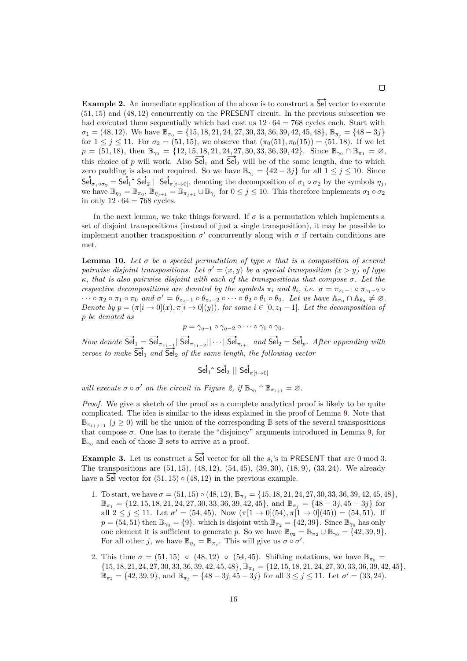**Example 2.** An immediate application of the above is to construct a  $\overline{Sel}$  vector to execute (51*,* 15) and (48*,* 12) concurrently on the PRESENT circuit. In the previous subsection we had executed them sequentially which had cost us  $12 \cdot 64 = 768$  cycles each. Start with  $\sigma_1 = (48, 12)$ . We have  $\mathbb{B}_{\pi_0} = \{15, 18, 21, 24, 27, 30, 33, 36, 39, 42, 45, 48\}$ ,  $\mathbb{B}_{\pi_i} = \{48 - 3j\}$ for  $1 \leq j \leq 11$ . For  $\sigma_2 = (51, 15)$ , we observe that  $(\pi_0(51), \pi_0(15)) = (51, 18)$ . If we let  $p = (51, 18)$ , then  $\mathbb{B}_{\gamma_0} = \{12, 15, 18, 21, 24, 27, 30, 33, 36, 39, 42\}$ . Since  $\mathbb{B}_{\gamma_0} \cap \mathbb{B}_{\pi_1} = \emptyset$ , this choice of *p* will work. Also  $\mathsf{Sei}_1$  and  $\mathsf{Sei}_2$  will be of the same length, due to which zero padding is also not required. So we have  $\mathbb{B}_{\gamma_j} = \{42 - 3j\}$  for all  $1 \leq j \leq 10$ . Since  $\text{Sel}_{\sigma_1 \circ \sigma_2} = \text{Sel}_1 \circ \text{Sel}_2 \parallel \text{Sel}_{\pi[i \to 0]}$ , denoting the decomposition of  $\sigma_1 \circ \sigma_2$  by the symbols  $\eta_j$ , we have  $\mathbb{B}_{\eta_0} = \mathbb{B}_{\pi_0}$ ,  $\mathbb{B}_{\eta_{j+1}} = \mathbb{B}_{\pi_{j+1}} \cup \mathbb{B}_{\gamma_j}$  for  $0 \leq j \leq 10$ . This therefore implements  $\sigma_1 \circ \sigma_2$ in only  $12 \cdot 64 = 768$  cycles.

In the next lemma, we take things forward. If  $\sigma$  is a permutation which implements a set of disjoint transpositions (instead of just a single transposition), it may be possible to implement another transposition  $\sigma'$  concurrently along with  $\sigma$  if certain conditions are met.

**Lemma 10.** Let  $\sigma$  be a special permutation of type  $\kappa$  that is a composition of several *pairwise disjoint transpositions. Let*  $\sigma' = (x, y)$  *be a special transposition*  $(x > y)$  *of type κ, that is also pairwise disjoint with each of the transpositions that compose σ. Let the respective decompositions are denoted by the symbols*  $\pi_i$  *and*  $\theta_i$ *, i.e.*  $\sigma = \pi_{z_1-1} \circ \pi_{z_1-2} \circ$  $\cdots \circ \pi_2 \circ \pi_1 \circ \pi_0$  and  $\sigma' = \theta_{z_2-1} \circ \theta_{z_2-2} \circ \cdots \circ \theta_2 \circ \theta_1 \circ \theta_0$ . Let us have  $\mathbb{A}_{\pi_0} \cap \mathbb{A}_{\theta_0} \neq \emptyset$ . *Denote by*  $p = (\pi[i \rightarrow 0](x), \pi[i \rightarrow 0](y))$ *, for some*  $i \in [0, z_1 - 1]$ *. Let the decomposition of p be denoted as*

*p* =  $\gamma_{q-1} \circ \gamma_{q-2} \circ \cdots \circ \gamma_1 \circ \gamma_0$ .

 $Now \ denote \ \overrightarrow{Sel}_1 = \overrightarrow{Sel}_{\pi_{z_1-1}} || \overrightarrow{Sel}_{\pi_{z_1-2}} || \cdots || \overrightarrow{Sel}_{\pi_{i+1}} \ \ and \ \overrightarrow{Sel}_2 = \overrightarrow{Sel}_p$ *. After appending with zeroes to make*  $\overrightarrow{Sel}_1$  *and*  $\overrightarrow{Sel}_2$  *of the same length, the following vector* 

 $\overrightarrow{\text{Sel}}_1 \hat{\text{Sel}}_2 \parallel \overrightarrow{\text{Sel}}_{\pi[i \to 0]}$ 

*will execute*  $\sigma \circ \sigma'$  *on the circuit in Figure [2,](#page-7-0) if*  $\mathbb{B}_{\gamma_0} \cap \mathbb{B}_{\pi_{i+1}} = \emptyset$ *.* 

*Proof.* We give a sketch of the proof as a complete analytical proof is likely to be quite complicated. The idea is similar to the ideas explained in the proof of Lemma [9.](#page-12-1) Note that  $\mathbb{B}_{\pi_{i+j+1}}$  ( $j \geq 0$ ) will be the union of the corresponding B sets of the several transpositions that compose  $\sigma$ . One has to iterate the "disjoincy" arguments introduced in Lemma [9,](#page-12-1) for  $\mathbb{B}_{\gamma_0}$  and each of those  $\mathbb B$  sets to arrive at a proof.

**Example 3.** Let us construct a  $\overrightarrow{Sel}$  vector for all the  $s_i$ 's in PRESENT that are 0 mod 3. The transpositions are (51*,* 15), (48*,* 12), (54*,* 45), (39*,* 30), (18*,* 9), (33*,* 24). We already have a  $\mathsf{Sei}$  vector for  $(51, 15) \circ (48, 12)$  in the previous example.

- 1. To start, we have  $\sigma = (51, 15) \circ (48, 12)$ ,  $\mathbb{B}_{\pi_0} = \{15, 18, 21, 24, 27, 30, 33, 36, 39, 42, 45, 48\}$ , B*<sup>π</sup>*<sup>1</sup> = {12*,* 15*,* 18*,* 21*,* 24*,* 27*,* 30*,* 33*,* 36*,* 39*,* 42*,* 45}, and B*<sup>π</sup><sup>j</sup>* = {48 − 3*j,* 45 − 3*j*} for all  $2 \leq j \leq 11$ . Let  $\sigma' = (54, 45)$ . Now  $(\pi[1 \to 0](54), \pi[1 \to 0](45)) = (54, 51)$ . If  $p = (54, 51)$  then  $\mathbb{B}_{\gamma_0} = \{9\}$ . which is disjoint with  $\mathbb{B}_{\pi_2} = \{42, 39\}$ . Since  $\mathbb{B}_{\gamma_0}$  has only one element it is sufficient to generate *p*. So we have  $\mathbb{B}_{\eta_2} = \mathbb{B}_{\pi_2} \cup \mathbb{B}_{\gamma_0} = \{42, 39, 9\}.$ For all other *j*, we have  $\mathbb{B}_{\eta_j} = \mathbb{B}_{\pi_j}$ . This will give us  $\sigma \circ \sigma'$ .
- 2. This time  $\sigma = (51, 15)$   $(48, 12)$   $(54, 45)$ . Shifting notations, we have  $\mathbb{B}_{\pi_0} =$  $\{15, 18, 21, 24, 27, 30, 33, 36, 39, 42, 45, 48\}, \mathbb{B}_{\pi_1} = \{12, 15, 18, 21, 24, 27, 30, 33, 36, 39, 42, 45\},\$  $\mathbb{B}_{\pi_2} = \{42, 39, 9\}$ , and  $\mathbb{B}_{\pi_j} = \{48 - 3j, 45 - 3j\}$  for all  $3 \le j \le 11$ . Let  $\sigma' = (33, 24)$ .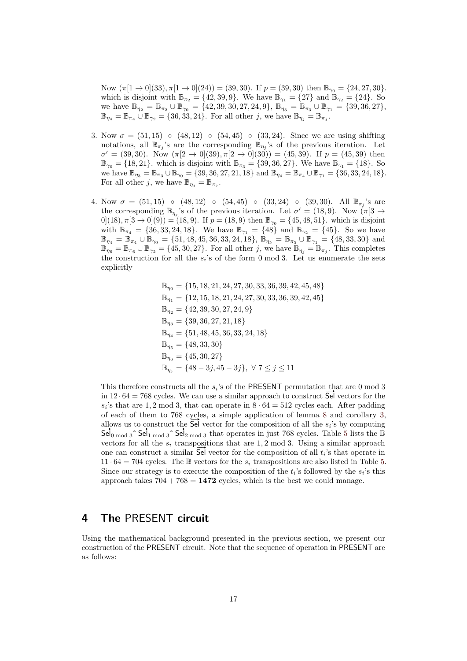Now  $(\pi[1 \rightarrow 0](33), \pi[1 \rightarrow 0](24)) = (39, 30)$ . If  $p = (39, 30)$  then  $\mathbb{B}_{\gamma_0} = \{24, 27, 30\}$ . which is disjoint with  $\mathbb{B}_{\pi_2} = \{42, 39, 9\}$ . We have  $\mathbb{B}_{\gamma_1} = \{27\}$  and  $\mathbb{B}_{\gamma_2} = \{24\}$ . So we have  $\mathbb{B}_{\eta_2} = \mathbb{B}_{\pi_2} \cup \mathbb{B}_{\gamma_0} = \{42, 39, 30, 27, 24, 9\}, \mathbb{B}_{\eta_3} = \mathbb{B}_{\pi_3} \cup \mathbb{B}_{\gamma_1} = \{39, 36, 27\},\$  $\mathbb{B}_{\eta_4} = \mathbb{B}_{\pi_4} \cup \mathbb{B}_{\gamma_2} = \{36, 33, 24\}.$  For all other *j*, we have  $\mathbb{B}_{\eta_j} = \mathbb{B}_{\pi_j}$ .

- 3. Now  $\sigma = (51, 15)$   $(48, 12)$   $(54, 45)$   $(33, 24)$ . Since we are using shifting notations, all  $\mathbb{B}_{\pi_j}$ 's are the corresponding  $\mathbb{B}_{\eta_j}$ 's of the previous iteration. Let  $\sigma' = (39, 30)$ . Now  $(\pi[2 \to 0](39), \pi[2 \to 0](30)) = (45, 39)$ . If  $p = (45, 39)$  then  $\mathbb{B}_{\gamma_0} = \{18, 21\}$ . which is disjoint with  $\mathbb{B}_{\pi_3} = \{39, 36, 27\}$ . We have  $\mathbb{B}_{\gamma_1} = \{18\}$ . So we have  $\mathbb{B}_{\eta_3} = \mathbb{B}_{\pi_3} \cup \mathbb{B}_{\gamma_0} = \{39, 36, 27, 21, 18\}$  and  $\mathbb{B}_{\eta_4} = \mathbb{B}_{\pi_4} \cup \mathbb{B}_{\gamma_1} = \{36, 33, 24, 18\}.$ For all other *j*, we have  $\mathbb{B}_{\eta_j} = \mathbb{B}_{\pi_j}$ .
- 4. Now  $\sigma = (51, 15)$   $(48, 12)$   $(54, 45)$   $(33, 24)$   $(39, 30)$ . All  $\mathbb{B}_{\pi_j}$ 's are the corresponding  $\mathbb{B}_{\eta_j}$ 's of the previous iteration. Let  $\sigma' = (18, 9)$ . Now  $(\pi[3 \to$  $0[(18), \pi[3 \rightarrow 0](9)) = (18, 9)$ . If  $p = (18, 9)$  then  $\mathbb{B}_{\gamma_0} = \{45, 48, 51\}$ . which is disjoint with  $\mathbb{B}_{\pi_4} = \{36, 33, 24, 18\}$ . We have  $\mathbb{B}_{\gamma_1} = \{48\}$  and  $\mathbb{B}_{\gamma_2} = \{45\}$ . So we have  $\mathbb{B}_{\eta_4} = \mathbb{B}_{\pi_4} \cup \mathbb{B}_{\gamma_0} = \{51, 48, 45, 36, 33, 24, 18\}, \mathbb{B}_{\eta_5} = \mathbb{B}_{\pi_5} \cup \mathbb{B}_{\gamma_1} = \{48, 33, 30\}$  and  $\mathbb{B}_{\eta_6} = \mathbb{B}_{\pi_6} \cup \mathbb{B}_{\gamma_2} = \{45, 30, 27\}.$  For all other *j*, we have  $\mathbb{B}_{\eta_j} = \mathbb{B}_{\pi_j}$ . This completes the construction for all the  $s_i$ 's of the form 0 mod 3. Let us enumerate the sets explicitly

$$
\begin{aligned} &\mathbb{B}_{\eta_0} = \{15, 18, 21, 24, 27, 30, 33, 36, 39, 42, 45, 48\} \\ &\mathbb{B}_{\eta_1} = \{12, 15, 18, 21, 24, 27, 30, 33, 36, 39, 42, 45\} \\ &\mathbb{B}_{\eta_2} = \{42, 39, 30, 27, 24, 9\} \\ &\mathbb{B}_{\eta_3} = \{39, 36, 27, 21, 18\} \\ &\mathbb{B}_{\eta_4} = \{51, 48, 45, 36, 33, 24, 18\} \\ &\mathbb{B}_{\eta_5} = \{48, 33, 30\} \\ &\mathbb{B}_{\eta_6} = \{45, 30, 27\} \\ &\mathbb{B}_{\eta_j} = \{48 - 3j, 45 - 3j\}, \ \forall \ 7 \leq j \leq 11 \end{aligned}
$$

This therefore constructs all the  $s_i$ 's of the PRESENT permutation that are 0 mod 3 in  $12 \cdot 64 = 768$  cycles. We can use a similar approach to construct Sel vectors for the  $s_i$ 's that are 1, 2 mod 3, that can operate in  $8 \cdot 64 = 512$  cycles each. After padding of each of them to 768 cycles, a simple application of lemma [8](#page-10-1) and corollary [3,](#page-10-2) or each or them to *(b8 cycles, a simple application or lemma 8 and corollary 3 allows us to construct the*  $\overline{Se}$  *vector for the composition of all the*  $s_i$ *'s by computing*  $\frac{\text{allows}}{\text{Sel}_{0 \text{ mod } 3}}$   $\frac{\text{col}_{1 \text{ mod } 3}}{\text{Sel}_{1 \text{ mod } 3}}$   $\frac{\text{Sel}_{2 \text{ mod } 3}}{\text{Sel}_{2 \text{ mod } 3}}$  that operates in just 768 cycles. Table [5](#page-17-0) lists the B vectors for all the  $s_i$  transpositions that are 1, 2 mod 3. Using a similar approach vectors for all the  $s_i$  transpositions that are 1, 2 mod 3. Using a similar approach<br>one can construct a similar  $\overline{\mathsf{Sel}}$  vector for the composition of all  $t_i$ 's that operate in  $11 \cdot 64 = 704$  cycles. The B vectors for the  $s_i$  transpositions are also listed in Table [5.](#page-17-0) Since our strategy is to execute the composition of the  $t_i$ 's followed by the  $s_i$ 's this approach takes  $704 + 768 = 1472$  cycles, which is the best we could manage.

### <span id="page-16-0"></span>**4 The** PRESENT **circuit**

Using the mathematical background presented in the previous section, we present our construction of the PRESENT circuit. Note that the sequence of operation in PRESENT are as follows: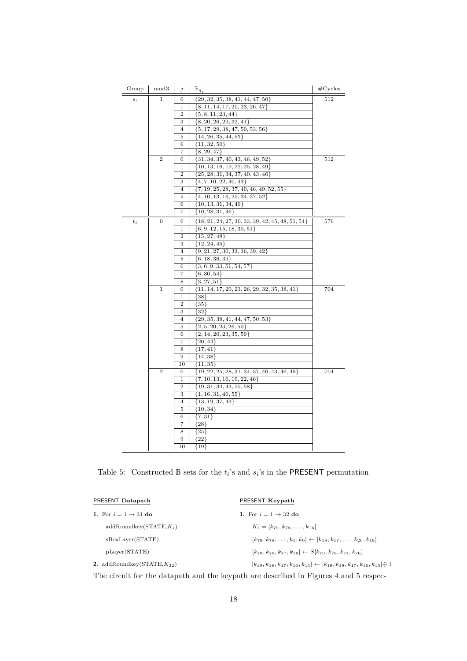<span id="page-17-0"></span>

| Group        | mod3             | j                | $\mathbb{B}_{\eta_{\hat{1}}}$                      | $\#\text{Cycles}$ |
|--------------|------------------|------------------|----------------------------------------------------|-------------------|
| $s_i$        | 1                | 0                | $\{29, 32, 35, 38, 41, 44, 47, 50\}$               | 512               |
|              |                  | 1                | $\{8, 11, 14, 17, 20, 23, 26, 47\}$                |                   |
|              |                  | $\overline{2}$   | $\{5, 8, 11, 23, 44\}$                             |                   |
|              |                  | 3                | $\{8, 20, 26, 29, 32, 41\}$                        |                   |
|              |                  | 4                | $\{5, 17, 29, 38, 47, 50, 53, 56\}$                |                   |
|              |                  | 5                | ${14, 26, 35, 44, 53}$                             |                   |
|              |                  | 6                | $\{11, 32, 50\}$                                   |                   |
|              |                  | 7                | ${8, 29, 47}$                                      |                   |
|              | $\overline{2}$   | $\boldsymbol{0}$ | $\{31, 34, 37, 40, 43, 46, 49, 52\}$               | 512               |
|              |                  | 1                | $\{10, 13, 16, 19, 22, 25, 28, 49\}$               |                   |
|              |                  | $\overline{2}$   | ${25, 28, 31, 34, 37, 40, 43, 46}$                 |                   |
|              |                  | 3                | $\{4, 7, 10, 22, 40, 43\}$                         |                   |
|              |                  | $\overline{4}$   | $\{7, 19, 25, 28, 37, 40, 46, 49, 52, 55\}$        |                   |
|              |                  | 5                | $\{4, 10, 13, 16, 25, 34, 37, 52\}$                |                   |
|              |                  | 6                | $\{10, 13, 31, 34, 49\}$                           |                   |
|              |                  | 7                | $\{10, 28, 31, 46\}$                               |                   |
| $\sqrt{t_i}$ | $\boldsymbol{0}$ | 0                | ${18, 21, 24, 27, 30, 33, 39, 42, 45, 48, 51, 54}$ | 576               |
|              |                  | 1                | $\{6, 9, 12, 15, 18, 30, 51\}$                     |                   |
|              |                  | $\overline{2}$   | $\{15, 27, 48\}$                                   |                   |
|              |                  | 3                | ${12, 24, 45}$                                     |                   |
|              |                  | 4                | $\{9, 21, 27, 30, 33, 36, 39, 42\}$                |                   |
|              |                  | 5                | $\{6, 18, 36, 39\}$                                |                   |
|              |                  | 6                | $\{3, 6, 9, 33, 51, 54, 57\}$                      |                   |
|              |                  | 7                | $\{6, 30, 54\}$                                    |                   |
|              |                  | 8                | $\{3, 27, 51\}$                                    |                   |
|              | $\mathbf{1}$     | 0                | $\{11, 14, 17, 20, 23, 26, 29, 32, 35, 38, 41\}$   | 704               |
|              |                  | $\mathbf 1$      | ${38}$                                             |                   |
|              |                  | $\overline{2}$   | ${35}$                                             |                   |
|              |                  | 3                | ${32}$                                             |                   |
|              |                  | 4                | $\{29, 35, 38, 41, 44, 47, 50, 53\}$               |                   |
|              |                  | 5                | $\{2, 5, 20, 23, 26, 50\}$                         |                   |
|              |                  | 6                | $\{2, 14, 20, 23, 35, 59\}$                        |                   |
|              |                  | 7                | $\{20, 44\}$                                       |                   |
|              |                  | 8                | ${17, 41}$                                         |                   |
|              |                  | 9                | ${14, 38}$                                         |                   |
|              |                  | 10               | $\{11,35\}$                                        |                   |
|              | $\overline{2}$   | 0                | $\{19, 22, 25, 28, 31, 34, 37, 40, 43, 46, 49\}$   | 704               |
|              |                  | 1                | $\{7, 10, 13, 16, 19, 22, 46\}$                    |                   |
|              |                  | $\overline{2}$   | $\{19, 31, 34, 43, 55, 58\}$                       |                   |
|              |                  | 3                | $\{1, 16, 31, 40, 55\}$                            |                   |
|              |                  | 4                | ${13, 19, 37, 43}$                                 |                   |
|              |                  | 5                | $\{10, 34\}$                                       |                   |
|              |                  | 6                | $\{7,31\}$                                         |                   |
|              |                  | 7                | ${28}$                                             |                   |
|              |                  | 8                | ${25}$                                             |                   |
|              |                  | 9                | ${22}$                                             |                   |
|              |                  | 10               | ${19}$                                             |                   |

Table 5: Constructed  $\mathbb{B}$  sets for the  $t_i$ 's and  $s_i$ 's in the PRESENT permutation

| PRESENT Datapath                         | PRESENT Keypath                                                                                         |
|------------------------------------------|---------------------------------------------------------------------------------------------------------|
| 1. For $i = 1 \rightarrow 31$ do         | 1. For $i = 1 \rightarrow 32$ do                                                                        |
| $addRoundkey(STATE, K_i)$                | $K_i = [k_{79}, k_{78}, \ldots, k_{16}]$                                                                |
| sBoxLayer(STATE)                         | $[k_{79}, k_{78}, \ldots, k_{1}, k_{0}] \leftarrow [k_{18}, k_{17}, \ldots, k_{20}, k_{19}]$            |
| pLayer(STATE)                            | $[k_{79}, k_{78}, k_{77}, k_{76}] \leftarrow S[k_{79}, k_{78}, k_{77}, k_{76}]$                         |
| 2. addRoundkey( $\text{STATE}, K_{32}$ ) | $[k_{19}, k_{18}, k_{17}, k_{16}, k_{15}] \leftarrow [k_{19}, k_{18}, k_{17}, k_{16}, k_{15}] \oplus i$ |
|                                          |                                                                                                         |

The circuit for the datapath and the keypath are described in Figures [4](#page-18-0) and [5](#page-19-0) respec-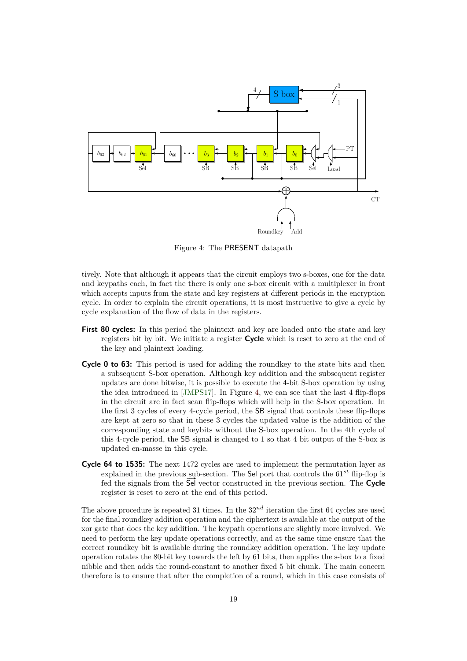<span id="page-18-0"></span>

Figure 4: The PRESENT datapath

tively. Note that although it appears that the circuit employs two s-boxes, one for the data and keypaths each, in fact the there is only one s-box circuit with a multiplexer in front which accepts inputs from the state and key registers at different periods in the encryption cycle. In order to explain the circuit operations, it is most instructive to give a cycle by cycle explanation of the flow of data in the registers.

- **First 80 cycles:** In this period the plaintext and key are loaded onto the state and key registers bit by bit. We initiate a register **Cycle** which is reset to zero at the end of the key and plaintext loading.
- **Cycle 0 to 63:** This period is used for adding the roundkey to the state bits and then a subsequent S-box operation. Although key addition and the subsequent register updates are done bitwise, it is possible to execute the 4-bit S-box operation by using the idea introduced in [\[JMPS17\]](#page-31-2). In Figure [4,](#page-18-0) we can see that the last 4 flip-flops in the circuit are in fact scan flip-flops which will help in the S-box operation. In the first 3 cycles of every 4-cycle period, the SB signal that controls these flip-flops are kept at zero so that in these 3 cycles the updated value is the addition of the corresponding state and keybits without the S-box operation. In the 4th cycle of this 4-cycle period, the SB signal is changed to 1 so that 4 bit output of the S-box is updated en-masse in this cycle.
- **Cycle 64 to 1535:** The next 1472 cycles are used to implement the permutation layer as explained in the previous sub-section. The Sel port that controls the 61*st* flip-flop is fed the signals from the  $\overline{Se}$  vector constructed in the previous section. The **Cycle** register is reset to zero at the end of this period.

The above procedure is repeated 31 times. In the 32*nd* iteration the first 64 cycles are used for the final roundkey addition operation and the ciphertext is available at the output of the xor gate that does the key addition. The keypath operations are slightly more involved. We need to perform the key update operations correctly, and at the same time ensure that the correct roundkey bit is available during the roundkey addition operation. The key update operation rotates the 80-bit key towards the left by 61 bits, then applies the s-box to a fixed nibble and then adds the round-constant to another fixed 5 bit chunk. The main concern therefore is to ensure that after the completion of a round, which in this case consists of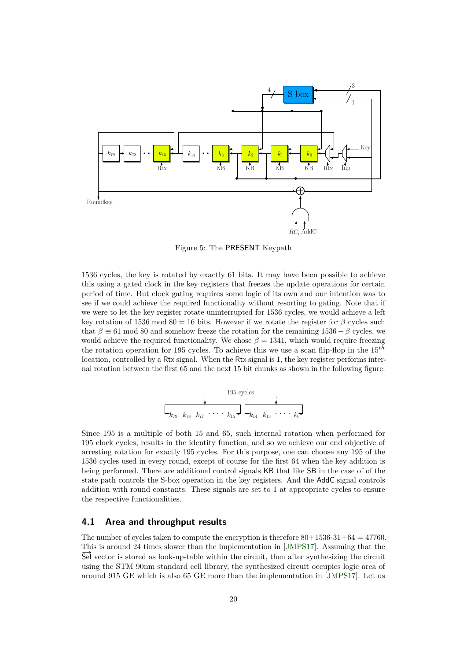<span id="page-19-0"></span>

Figure 5: The PRESENT Keypath

1536 cycles, the key is rotated by exactly 61 bits. It may have been possible to achieve this using a gated clock in the key registers that freezes the update operations for certain period of time. But clock gating requires some logic of its own and our intention was to see if we could achieve the required functionality without resorting to gating. Note that if we were to let the key register rotate uninterrupted for 1536 cycles, we would achieve a left key rotation of 1536 mod 80 = 16 bits. However if we rotate the register for  $\beta$  cycles such that  $\beta \equiv 61 \text{ mod } 80$  and somehow freeze the rotation for the remaining 1536 –  $\beta$  cycles, we would achieve the required functionality. We chose  $\beta = 1341$ , which would require freezing the rotation operation for 195 cycles. To achieve this we use a scan flip-flop in the 15*th* location, controlled by a Rtx signal. When the Rtx signal is 1, the key register performs internal rotation between the first 65 and the next 15 bit chunks as shown in the following figure.

k<sup>79</sup> k<sup>78</sup> k<sup>77</sup> b b b b k<sup>15</sup> k<sup>14</sup> k<sup>13</sup> b b b b k<sup>0</sup> 195 cycles

Since 195 is a multiple of both 15 and 65, such internal rotation when performed for 195 clock cycles, results in the identity function, and so we achieve our end objective of arresting rotation for exactly 195 cycles. For this purpose, one can choose any 195 of the 1536 cycles used in every round, except of course for the first 64 when the key addition is being performed. There are additional control signals KB that like SB in the case of of the state path controls the S-box operation in the key registers. And the AddC signal controls addition with round constants. These signals are set to 1 at appropriate cycles to ensure the respective functionalities.

#### **4.1 Area and throughput results**

The number of cycles taken to compute the encryption is therefore  $80+1536\cdot31+64=47760$ . This is around 24 times slower than the implementation in [\[JMPS17\]](#page-31-2). Assuming that the Sel vector is stored as look-up-table within the circuit, then after synthesizing the circuit using the STM 90nm standard cell library, the synthesized circuit occupies logic area of around 915 GE which is also 65 GE more than the implementation in [\[JMPS17\]](#page-31-2). Let us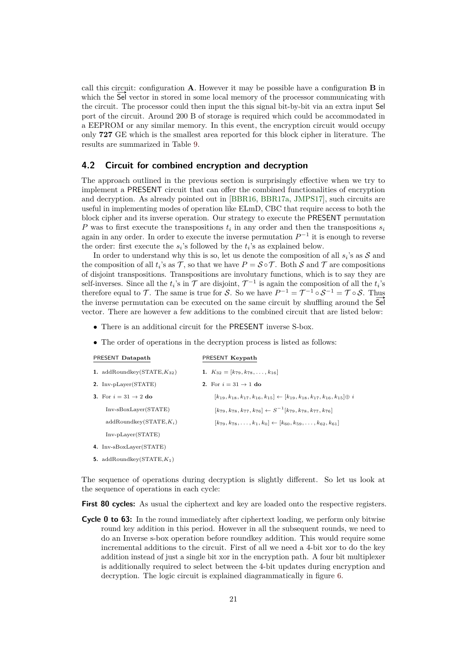call this circuit: configuration **A**. However it may be possible have a configuration **B** in which the Sel vector in stored in some local memory of the processor communicating with the circuit. The processor could then input the this signal bit-by-bit via an extra input Sel port of the circuit. Around 200 B of storage is required which could be accommodated in a EEPROM or any similar memory. In this event, the encryption circuit would occupy only **727** GE which is the smallest area reported for this block cipher in literature. The results are summarized in Table [9.](#page-30-0)

#### **4.2 Circuit for combined encryption and decryption**

The approach outlined in the previous section is surprisingly effective when we try to implement a PRESENT circuit that can offer the combined functionalities of encryption and decryption. As already pointed out in [\[BBR16,](#page-30-1) [BBR17a,](#page-31-9) [JMPS17\]](#page-31-2), such circuits are useful in implementing modes of operation like ELmD, CBC that require access to both the block cipher and its inverse operation. Our strategy to execute the PRESENT permutation *P* was to first execute the transpositions *t<sup>i</sup>* in any order and then the transpositions *s<sup>i</sup>* again in any order. In order to execute the inverse permutation  $P^{-1}$  it is enough to reverse the order: first execute the  $s_i$ 's followed by the  $t_i$ 's as explained below.

In order to understand why this is so, let us denote the composition of all  $s_i$ 's as  $S$  and the composition of all  $t_i$ 's as  $\mathcal T$ , so that we have  $P = \mathcal S \circ \mathcal T$ . Both  $\mathcal S$  and  $\mathcal T$  are compositions of disjoint transpositions. Transpositions are involutary functions, which is to say they are self-inverses. Since all the  $t_i$ 's in  $\mathcal T$  are disjoint,  $\mathcal T^{-1}$  is again the composition of all the  $t_i$ 's therefore equal to T. The same is true for S. So we have  $P^{-1} = T^{-1} \circ S^{-1} = T \circ S$ . Thus the inverse permutation can be executed on the same circuit by shuffling around the Sel vector. There are however a few additions to the combined circuit that are listed below:

- There is an additional circuit for the PRESENT inverse S-box.
- The order of operations in the decryption process is listed as follows:

| PRESENT Datapath                 | PRESENT Keypath                                                                                         |
|----------------------------------|---------------------------------------------------------------------------------------------------------|
| 1. addRoundkey(STATE, $K_{32}$ ) | 1. $K_{32} = [k_{79}, k_{78}, \ldots, k_{16}]$                                                          |
| 2. Inv-pLayer(STATE)             | 2. For $i = 31 \rightarrow 1$ do                                                                        |
| 3. For $i = 31 \rightarrow 2$ do | $[k_{19}, k_{18}, k_{17}, k_{16}, k_{15}] \leftarrow [k_{19}, k_{18}, k_{17}, k_{16}, k_{15}] \oplus i$ |
| $Inv-SBoxLayer(STATE)$           | $[k_{79}, k_{78}, k_{77}, k_{76}] \leftarrow S^{-1}[k_{79}, k_{78}, k_{77}, k_{76}]$                    |
| $addRoundkey(STATE, K_i)$        | $[k_{79}, k_{78}, \ldots, k_{1}, k_{0}] \leftarrow [k_{60}, k_{59}, \ldots, k_{62}, k_{61}]$            |
| $Inv-pLayer(STATE)$              |                                                                                                         |
|                                  |                                                                                                         |

- **4.** Inv-sBoxLayer(STATE)
- **5.** addRoundkey(STATE,*K*1)

The sequence of operations during decryption is slightly different. So let us look at the sequence of operations in each cycle:

**First 80 cycles:** As usual the ciphertext and key are loaded onto the respective registers.

**Cycle 0 to 63:** In the round immediately after ciphertext loading, we perform only bitwise round key addition in this period. However in all the subsequent rounds, we need to do an Inverse s-box operation before roundkey addition. This would require some incremental additions to the circuit. First of all we need a 4-bit xor to do the key addition instead of just a single bit xor in the encryption path. A four bit multiplexer is additionally required to select between the 4-bit updates during encryption and decryption. The logic circuit is explained diagrammatically in figure [6.](#page-21-1)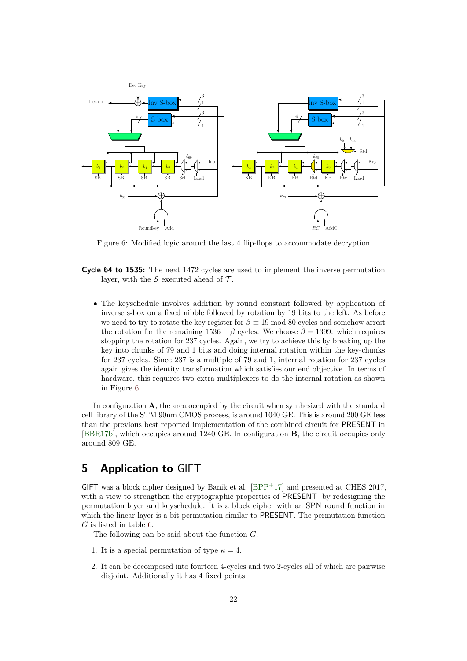<span id="page-21-1"></span>

Figure 6: Modified logic around the last 4 flip-flops to accommodate decryption

- **Cycle 64 to 1535:** The next 1472 cycles are used to implement the inverse permutation layer, with the S executed ahead of  $\mathcal{T}$ .
	- The keyschedule involves addition by round constant followed by application of inverse s-box on a fixed nibble followed by rotation by 19 bits to the left. As before we need to try to rotate the key register for  $\beta \equiv 19 \mod 80$  cycles and somehow arrest the rotation for the remaining  $1536 - \beta$  cycles. We choose  $\beta = 1399$ , which requires stopping the rotation for 237 cycles. Again, we try to achieve this by breaking up the key into chunks of 79 and 1 bits and doing internal rotation within the key-chunks for 237 cycles. Since 237 is a multiple of 79 and 1, internal rotation for 237 cycles again gives the identity transformation which satisfies our end objective. In terms of hardware, this requires two extra multiplexers to do the internal rotation as shown in Figure [6.](#page-21-1)

In configuration **A**, the area occupied by the circuit when synthesized with the standard cell library of the STM 90nm CMOS process, is around 1040 GE. This is around 200 GE less than the previous best reported implementation of the combined circuit for PRESENT in [\[BBR17b\]](#page-31-10), which occupies around 1240 GE. In configuration **B**, the circuit occupies only around 809 GE.

## <span id="page-21-0"></span>**5 Application to** GIFT

GIFT was a block cipher designed by Banik et al.  $[BPP+17]$  $[BPP+17]$  and presented at CHES 2017, with a view to strengthen the cryptographic properties of PRESENT by redesigning the permutation layer and keyschedule. It is a block cipher with an SPN round function in which the linear layer is a bit permutation similar to PRESENT. The permutation function *G* is listed in table [6.](#page-22-0)

The following can be said about the function *G*:

- 1. It is a special permutation of type  $\kappa = 4$ .
- 2. It can be decomposed into fourteen 4-cycles and two 2-cycles all of which are pairwise disjoint. Additionally it has 4 fixed points.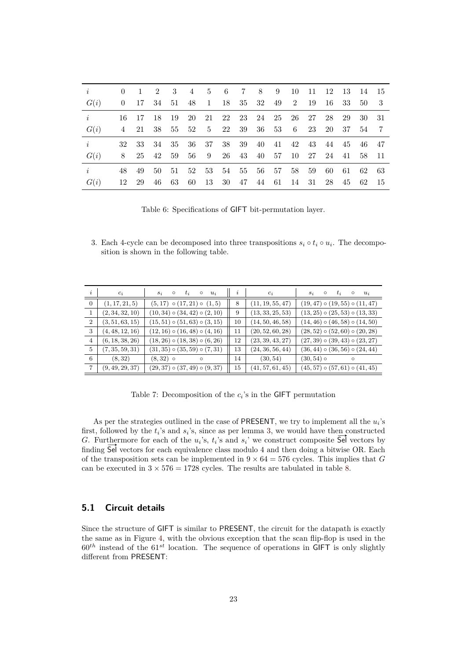<span id="page-22-0"></span>

| $\dot{i}$ | $\theta$ | -1  | 2                                         |                   |                |  | 3 4 5 6 7 8 9              | -10   |     | 11 12 13 14 15       |       |       |                |
|-----------|----------|-----|-------------------------------------------|-------------------|----------------|--|----------------------------|-------|-----|----------------------|-------|-------|----------------|
| G(i)      | $\theta$ |     | 17 34 51 48 1 18 35 32 49 2               |                   |                |  |                            |       | -19 | -16                  | 33    | 50    | - 3            |
| i         |          |     | 16 17 18 19 20 21 22 23 24 25 26 27 28 29 |                   |                |  |                            |       |     |                      |       | 30 31 |                |
| G(i)      | 4        |     | 21 38 55 52 5 22 39 36 53 6               |                   |                |  |                            |       | 23  |                      | 20 37 | 54    | $\overline{7}$ |
| i         | 32       | -33 | - 34                                      | 35 36 37 38 39 40 |                |  |                            |       |     | 41 42 43 44 45 46 47 |       |       |                |
| G(i)      | 8        |     | 25 42 59 56 9 26 43 40 57 10 27 24 41     |                   |                |  |                            |       |     |                      |       | 58 11 |                |
| i         | 48.      | 49  | 50                                        |                   |                |  | 51 52 53 54 55 56 57 58 59 |       |     | -60                  | - 61  | 62 63 |                |
| G(i)      | 12       | -29 | 46                                        | 63 60             | 13 30 47 44 61 |  |                            | 14 31 |     |                      | 28 45 | 62 15 |                |

Table 6: Specifications of GIFT bit-permutation layer.

3. Each 4-cycle can be decomposed into three transpositions  $s_i \circ t_i \circ u_i$ . The decomposition is shown in the following table.

| $\dot{i}$      | $c_i$           | $t_i$<br>$\circ$ $u_i$<br>$s_i$<br>$\circ$ | i  | $c_i$            | $t_i$<br>$s_i$<br>$\circ$<br>$u_i$<br>$\circ$ |
|----------------|-----------------|--------------------------------------------|----|------------------|-----------------------------------------------|
| $\overline{0}$ | (1, 17, 21, 5)  | $(5, 17) \circ (17, 21) \circ (1, 5)$      | 8  | (11, 19, 55, 47) | $(19, 47) \circ (19, 55) \circ (11, 47)$      |
|                | (2, 34, 32, 10) | $(10, 34) \circ (34, 42) \circ (2, 10)$    | 9  | (13, 33, 25, 53) | $(13, 25) \circ (25, 53) \circ (13, 33)$      |
| $\overline{2}$ | (3, 51, 63, 15) | $(15, 51) \circ (51, 63) \circ (3, 15)$    | 10 | (14, 50, 46, 58) | $(14, 46) \circ (46, 58) \circ (14, 50)$      |
| 3              | (4, 48, 12, 16) | $(12, 16) \circ (16, 48) \circ (4, 16)$    | 11 | (20, 52, 60, 28) | $(28, 52) \circ (52, 60) \circ (20, 28)$      |
| 4              | (6, 18, 38, 26) | $(18, 26) \circ (18, 38) \circ (6, 26)$    | 12 | (23, 39, 43, 27) | $(27, 39) \circ (39, 43) \circ (23, 27)$      |
| 5              | (7, 35, 59, 31) | $(31, 35) \circ (35, 59) \circ (7, 31)$    | 13 | (24, 36, 56, 44) | $(36, 44) \circ (36, 56) \circ (24, 44)$      |
| 6              | (8, 32)         | $(8, 32)$ o<br>$\circ$                     | 14 | (30, 54)         | $(30, 54)$ o<br>$\circ$                       |
|                | (9, 49, 29, 37) | $(29, 37) \circ (37, 49) \circ (9, 37)$    | 15 | (41, 57, 61, 45) | $(45, 57) \circ (57, 61) \circ (41, 45)$      |

Table 7: Decomposition of the  $c_i$ 's in the GIFT permutation

As per the strategies outlined in the case of PRESENT, we try to implement all the *u<sup>i</sup>* 's first, followed by the  $t_i$ 's and  $s_i$ 's, since as per lemma [3,](#page-3-2) we would have then constructed first, followed by the  $t_i$ 's and  $s_i$ 's, since as per lemma 3, we would have then constructed  $G$ . Furthermore for each of the  $u_i$ 's,  $t_i$ 's and  $s_i$ ' we construct composite  $\overline{Sel}$  vectors by finding Sel vectors for each equivalence class modulo 4 and then doing a bitwise OR. Each of the transposition sets can be implemented in  $9 \times 64 = 576$  cycles. This implies that *G* can be executed in  $3 \times 576 = 1728$  cycles. The results are tabulated in table [8.](#page-23-0)

### **5.1 Circuit details**

Since the structure of GIFT is similar to PRESENT, the circuit for the datapath is exactly the same as in Figure [4,](#page-18-0) with the obvious exception that the scan flip-flop is used in the  $60<sup>th</sup>$  instead of the  $61<sup>st</sup>$  location. The sequence of operations in GIFT is only slightly different from PRESENT: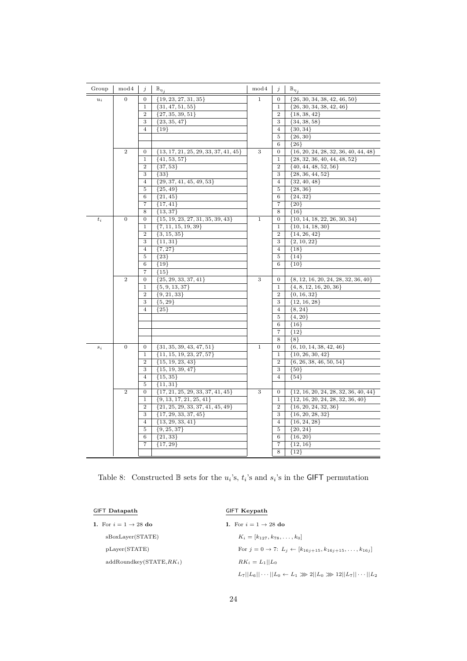<span id="page-23-0"></span>

| Group       | mod 4            | j                   | $\mathbb{B}_{\eta_{\underline{j}}}$      | mod 4        | j                 | $\mathbb{B}_{\eta_j}$                         |
|-------------|------------------|---------------------|------------------------------------------|--------------|-------------------|-----------------------------------------------|
| $u_i$       | $\overline{0}$   | 0                   | $\{19, 23, 27, 31, 35\}$                 | $\mathbf{1}$ | 0                 | $\{26, 30, 34, 38, 42, 46, 50\}$              |
|             |                  | $\mathbf{1}$        | ${31, 47, 51, 55}$                       |              | $\mathbf{1}$      | $\{26, 30, 34, 38, 42, 46\}$                  |
|             |                  | $\overline{2}$      | $\{27, 35, 39, 51\}$                     |              | $\overline{2}$    | ${18, 38, 42}$                                |
|             |                  | 3                   | $\{23, 35, 47\}$                         |              | 3                 | $\{34, 38, 58\}$                              |
|             |                  | $\overline{4}$      | ${19}$                                   |              | $\overline{4}$    | $\{30, 34\}$                                  |
|             |                  |                     |                                          |              | 5                 | $\{26, 30\}$                                  |
|             |                  |                     |                                          |              | 6                 | ${26}$                                        |
|             | $\overline{2}$   | 0                   | $\{13, 17, 21, 25, 29, 33, 37, 41, 45\}$ | 3            | 0                 | $\{16, 20, 24, 28, 32, 36, 40, 44, 48\}$      |
|             |                  | $\mathbf{1}$        | $\{41, 53, 57\}$                         |              | $\mathbf{1}$      | ${28, 32, 36, 40, 44, 48, 52}$                |
|             |                  | $\overline{2}$      | ${37, 53}$                               |              | $\overline{2}$    | $\{40, 44, 48, 52, 56\}$                      |
|             |                  | 3                   | ${33}$                                   |              | 3                 | ${28, 36, 44, 52}$                            |
|             |                  | $\overline{4}$      | ${29, 37, 41, 45, 49, 53}$               |              | $\overline{4}$    | ${32, 40, 48}$                                |
|             |                  | 5                   | $\{25, 49\}$                             |              | $\,$ 5            | ${28,36}$                                     |
|             |                  | 6                   | ${21, 45}$                               |              | $\,6\,$           | ${24, 32}$                                    |
|             |                  | 7                   | $\{17, 41\}$                             |              | 7                 | ${20}$                                        |
|             |                  | 8                   | ${13, 37}$                               |              | 8                 | ${16}$                                        |
| $t_i$       | $\theta$         | $\overline{0}$      | $\{15, 19, 23, 27, 31, 35, 39, 43\}$     | $\mathbf{1}$ | $\mathbf{0}$      | $\{10, 14, 18, 22, 26, 30, 34\}$              |
|             |                  | $\mathbf 1$         | $\{7, 11, 15, 19, 39\}$                  |              | $\mathbf{1}$      | $\{10, 14, 18, 30\}$                          |
|             |                  | $\overline{2}$      | ${3, 15, 35}$                            |              | $\overline{2}$    | ${14, 26, 42}$                                |
|             |                  | 3                   | $\{11, 31\}$                             |              | 3                 | $\{2, 10, 22\}$                               |
|             |                  | 4                   | $\{7, 27\}$                              |              | $\overline{4}$    | ${18}$                                        |
|             |                  | 5                   | ${23}$                                   |              | 5                 | ${14}$                                        |
|             |                  | 6                   | ${19}$                                   |              | $\,$ 6 $\,$       | ${10}$                                        |
|             | $\,2$            | 7                   | ${15}$                                   |              |                   |                                               |
|             |                  | $\boldsymbol{0}$    | ${25, 29, 33, 37, 41}$                   | 3            | 0<br>$\mathbf{1}$ | $\{8, 12, 16, 20, 24, 28, 32, 36, 40\}$       |
|             |                  | 1<br>$\overline{2}$ | $\{5, 9, 13, 37\}$<br>$\{9, 21, 33\}$    |              | $\overline{2}$    | $\{4, 8, 12, 16, 20, 36\}$<br>$\{0, 16, 32\}$ |
|             |                  | 3                   | ${5, 29}$                                |              | 3                 | ${12, 16, 28}$                                |
|             |                  | $\overline{4}$      | ${25}$                                   |              | $\overline{4}$    | ${8, 24}$                                     |
|             |                  |                     |                                          |              | $\,$ 5            | $\{4, 20\}$                                   |
|             |                  |                     |                                          |              | $\,6\,$           | ${16}$                                        |
|             |                  |                     |                                          |              | $\overline{7}$    | ${12}$                                        |
|             |                  |                     |                                          |              | 8                 | ${8}$                                         |
| $s_{\it i}$ | $\boldsymbol{0}$ | 0                   | $\{31, 35, 39, 43, 47, 51\}$             | $1\,$        | 0                 | $\{6, 10, 14, 38, 42, 46\}$                   |
|             |                  | 1                   | $\{11, 15, 19, 23, 27, 57\}$             |              | $\mathbf{1}$      | $\{10, 26, 30, 42\}$                          |
|             |                  | $\overline{2}$      | $\{15, 19, 23, 43\}$                     |              | $\overline{2}$    | $\{6, 26, 38, 46, 50, 54\}$                   |
|             |                  | 3                   | ${15, 19, 39, 47}$                       |              | 3                 | ${50}$                                        |
|             |                  | $\overline{4}$      | ${15, 35}$                               |              | $\overline{4}$    | ${54}$                                        |
|             |                  | 5                   | ${11, 31}$                               |              |                   |                                               |
|             | $\,2$            | 0                   | $\{17, 21, 25, 29, 33, 37, 41, 45\}$     | 3            | 0                 | $\{12, 16, 20, 24, 28, 32, 36, 40, 44\}$      |
|             |                  | $\mathbf 1$         | $\{9, 13, 17, 21, 25, 41\}$              |              | $\mathbf{1}$      | $\{12, 16, 20, 24, 28, 32, 36, 40\}$          |
|             |                  | $\overline{2}$      | $\{21, 25, 29, 33, 37, 41, 45, 49\}$     |              | $\overline{2}$    | $\{16, 20, 24, 32, 36\}$                      |
|             |                  | 3                   | $\{17, 29, 33, 37, 45\}$                 |              | 3                 | $\{16, 20, 28, 32\}$                          |
|             |                  | 4                   | $\{13, 29, 33, 41\}$                     |              | $\overline{4}$    | $\{16, 24, 28\}$                              |
|             |                  | 5                   | $\{9, 25, 37\}$                          |              | $\,$ 5            | $\{20, 24\}$                                  |
|             |                  | 6                   | $\{21, 33\}$                             |              | 6                 | ${16, 20}$                                    |
|             |                  | 7                   | ${17, 29}$                               |              | $\overline{7}$    | $\{12, 16\}$                                  |
|             |                  |                     |                                          |              | $\overline{8}$    | ${12}$                                        |

Table 8: Constructed  $\mathbb{B}$  sets for the  $u_i$ 's,  $t_i$ 's and  $s_i$ 's in the GIFT permutation

| <b>GIFT Datapath</b>             | GIFT Keypath                                                                           |
|----------------------------------|----------------------------------------------------------------------------------------|
| 1. For $i = 1 \rightarrow 28$ do | 1. For $i = 1 \rightarrow 28$ do                                                       |
| sBoxLayer(STATE)                 | $K_i = [k_{127}, k_{78}, \ldots, k_0]$                                                 |
| pLayer(STATE)                    | For $j = 0 \rightarrow 7$ : $L_i \leftarrow [k_{16i+15}, k_{16i+15}, \ldots, k_{16i}]$ |
| $addRoundkey(STATE, RK_i)$       | $RK_i = L_1    L_0$                                                                    |
|                                  | $L_7  L_6  \cdots  L_0 \leftarrow L_1 \gg 2  L_0 \gg 12  L_7  \cdots  L_2$             |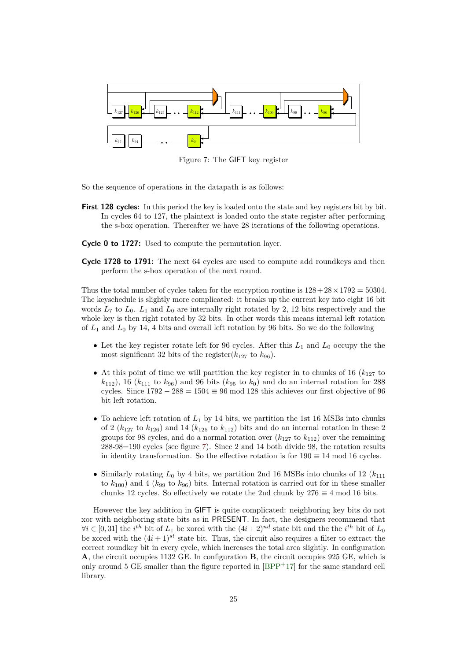<span id="page-24-0"></span>

Figure 7: The GIFT key register

So the sequence of operations in the datapath is as follows:

**First 128 cycles:** In this period the key is loaded onto the state and key registers bit by bit. In cycles 64 to 127, the plaintext is loaded onto the state register after performing the s-box operation. Thereafter we have 28 iterations of the following operations.

**Cycle 0 to 1727:** Used to compute the permutation layer.

**Cycle 1728 to 1791:** The next 64 cycles are used to compute add roundkeys and then perform the s-box operation of the next round.

Thus the total number of cycles taken for the encryption routine is  $128 + 28 \times 1792 = 50304$ . The keyschedule is slightly more complicated: it breaks up the current key into eight 16 bit words  $L_7$  to  $L_0$ .  $L_1$  and  $L_0$  are internally right rotated by 2, 12 bits respectively and the whole key is then right rotated by 32 bits. In other words this means internal left rotation of  $L_1$  and  $L_0$  by 14, 4 bits and overall left rotation by 96 bits. So we do the following

- Let the key register rotate left for 96 cycles. After this  $L_1$  and  $L_0$  occupy the the most significant 32 bits of the register( $k_{127}$  to  $k_{96}$ ).
- At this point of time we will partition the key register in to chunks of 16  $(k_{127}$  to  $(k_{112})$ , 16 ( $k_{111}$  to  $k_{96}$ ) and 96 bits ( $k_{95}$  to  $k_0$ ) and do an internal rotation for 288 cycles. Since  $1792 - 288 = 1504 \equiv 96 \mod 128$  this achieves our first objective of 96 bit left rotation.
- To achieve left rotation of  $L_1$  by 14 bits, we partition the 1st 16 MSBs into chunks of 2 ( $k_{127}$  to  $k_{126}$ ) and 14 ( $k_{125}$  to  $k_{112}$ ) bits and do an internal rotation in these 2 groups for 98 cycles, and do a normal rotation over  $(k_{127}$  to  $k_{112})$  over the remaining 288-98=190 cycles (see figure [7\)](#page-24-0). Since 2 and 14 both divide 98, the rotation results in identity transformation. So the effective rotation is for  $190 \equiv 14 \mod 16$  cycles.
- Similarly rotating  $L_0$  by 4 bits, we partition 2nd 16 MSBs into chunks of 12 ( $k_{111}$ ) to  $k_{100}$ ) and 4 ( $k_{99}$  to  $k_{96}$ ) bits. Internal rotation is carried out for in these smaller chunks 12 cycles. So effectively we rotate the 2nd chunk by  $276 \equiv 4 \mod 16$  bits.

However the key addition in GIFT is quite complicated: neighboring key bits do not xor with neighboring state bits as in PRESENT. In fact, the designers recommend that  $\forall i \in [0, 31]$  the *i*<sup>th</sup> bit of  $L_1$  be xored with the  $(4i + 2)^{nd}$  state bit and the the *i*<sup>th</sup> bit of  $L_0$ be xored with the  $(4i + 1)^{st}$  state bit. Thus, the circuit also requires a filter to extract the correct roundkey bit in every cycle, which increases the total area slightly. In configuration **A**, the circuit occupies 1132 GE. In configuration **B**, the circuit occupies 925 GE, which is only around 5 GE smaller than the figure reported in  $[BPP+17]$  $[BPP+17]$  for the same standard cell library.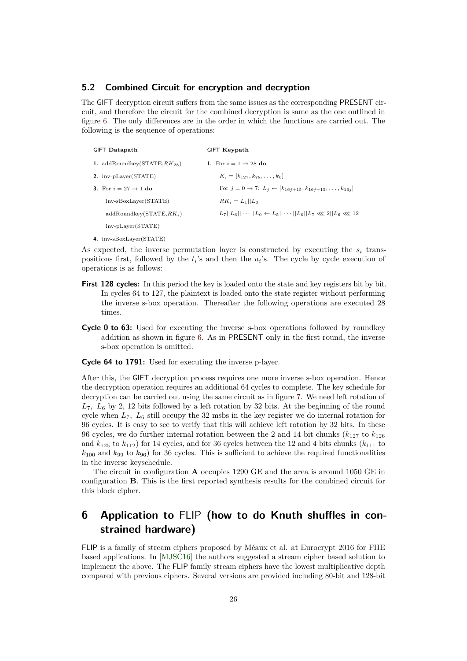#### **5.2 Combined Circuit for encryption and decryption**

The GIFT decryption circuit suffers from the same issues as the corresponding PRESENT circuit, and therefore the circuit for the combined decryption is same as the one outlined in figure [6.](#page-21-1) The only differences are in the order in which the functions are carried out. The following is the sequence of operations:

| <b>GIFT</b> Datapath              | GIFT Keypath                                                                           |
|-----------------------------------|----------------------------------------------------------------------------------------|
| 1. addRoundkey(STATE, $RK_{28}$ ) | 1. For $i = 1 \rightarrow 28$ do                                                       |
| 2. inv-pLayer(STATE)              | $K_i = [k_{127}, k_{78}, \ldots, k_0]$                                                 |
| 3. For $i = 27 \rightarrow 1$ do  | For $j = 0 \rightarrow 7$ : $L_j \leftarrow [k_{16j+15}, k_{16j+15}, \ldots, k_{16j}]$ |
| inv-sBoxLayer(STATE)              | $RK_i = L_1    L_0$                                                                    |
| $addRoundkey(STATE, RK_i)$        | $L_7  L_6  \cdots  L_0 \leftarrow L_5  \cdots  L_0  L_7 \lll 2  L_6 \lll 12$           |
| $inv$ -p $Layer(STATE)$           |                                                                                        |
| 4. inv-sBoxLaver(STATE)           |                                                                                        |

As expected, the inverse permutation layer is constructed by executing the  $s_i$  transpositions first, followed by the  $t_i$ 's and then the  $u_i$ 's. The cycle by cycle execution of operations is as follows:

- **First 128 cycles:** In this period the key is loaded onto the state and key registers bit by bit. In cycles 64 to 127, the plaintext is loaded onto the state register without performing the inverse s-box operation. Thereafter the following operations are executed 28 times.
- **Cycle 0 to 63:** Used for executing the inverse s-box operations followed by roundkey addition as shown in figure [6.](#page-21-1) As in PRESENT only in the first round, the inverse s-box operation is omitted.

**Cycle 64 to 1791:** Used for executing the inverse p-layer.

After this, the GIFT decryption process requires one more inverse s-box operation. Hence the decryption operation requires an additional 64 cycles to complete. The key schedule for decryption can be carried out using the same circuit as in figure [7.](#page-24-0) We need left rotation of *L*7*, L*<sup>6</sup> by 2, 12 bits followed by a left rotation by 32 bits. At the beginning of the round cycle when *L*7*, L*<sup>6</sup> still occupy the 32 msbs in the key register we do internal rotation for 96 cycles. It is easy to see to verify that this will achieve left rotation by 32 bits. In these 96 cycles, we do further internal rotation between the 2 and 14 bit chunks  $(k_{127})$  to  $k_{126}$ and  $k_{125}$  to  $k_{112}$ ) for 14 cycles, and for 36 cycles between the 12 and 4 bits chunks ( $k_{111}$  to  $k_{100}$  and  $k_{99}$  to  $k_{96}$ ) for 36 cycles. This is sufficient to achieve the required functionalities in the inverse keyschedule.

The circuit in configuration **A** occupies 1290 GE and the area is around 1050 GE in configuration **B**. This is the first reported synthesis results for the combined circuit for this block cipher.

# <span id="page-25-0"></span>**6 Application to** FLIP **(how to do Knuth shuffles in constrained hardware)**

FLIP is a family of stream ciphers proposed by Méaux et al. at Eurocrypt 2016 for FHE based applications. In [\[MJSC16\]](#page-31-8) the authors suggested a stream cipher based solution to implement the above. The FLIP family stream ciphers have the lowest multiplicative depth compared with previous ciphers. Several versions are provided including 80-bit and 128-bit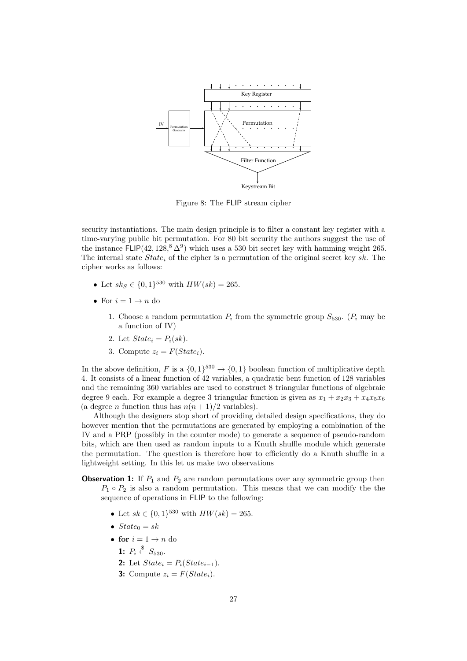

Figure 8: The FLIP stream cipher

security instantiations. The main design principle is to filter a constant key register with a time-varying public bit permutation. For 80 bit security the authors suggest the use of the instance  $FLIP(42, 128, ^{8}\Delta^9)$  which uses a 530 bit secret key with hamming weight 265. The internal state *State<sup>i</sup>* of the cipher is a permutation of the original secret key *sk*. The cipher works as follows:

- Let  $sk_S \in \{0,1\}^{530}$  with  $HW(sk) = 265$ .
- For  $i = 1 \rightarrow n$  do
	- 1. Choose a random permutation  $P_i$  from the symmetric group  $S_{530}$ . ( $P_i$  may be a function of IV)
	- 2. Let  $State_i = P_i(sk)$ .
	- 3. Compute  $z_i = F(State_i)$ .

In the above definition, *F* is a  $\{0,1\}^{530} \rightarrow \{0,1\}$  boolean function of multiplicative depth 4. It consists of a linear function of 42 variables, a quadratic bent function of 128 variables and the remaining 360 variables are used to construct 8 triangular functions of algebraic degree 9 each. For example a degree 3 triangular function is given as  $x_1 + x_2x_3 + x_4x_5x_6$ (a degree *n* function thus has  $n(n+1)/2$  variables).

Although the designers stop short of providing detailed design specifications, they do however mention that the permutations are generated by employing a combination of the IV and a PRP (possibly in the counter mode) to generate a sequence of pseudo-random bits, which are then used as random inputs to a Knuth shuffle module which generate the permutation. The question is therefore how to efficiently do a Knuth shuffle in a lightweight setting. In this let us make two observations

- **Observation 1:** If  $P_1$  and  $P_2$  are random permutations over any symmetric group then  $P_1 \circ P_2$  is also a random permutation. This means that we can modify the the sequence of operations in FLIP to the following:
	- Let  $sk \in \{0,1\}^{530}$  with  $HW(sk) = 265$ .
	- $State_0 = sk$
	- for  $i = 1 \rightarrow n$  do
		- 1:  $P_i \overset{\$}{\leftarrow} S_{530}$ .
		- **2:** Let  $State_i = P_i(State_{i-1}).$
		- **3:** Compute  $z_i = F(State_i)$ .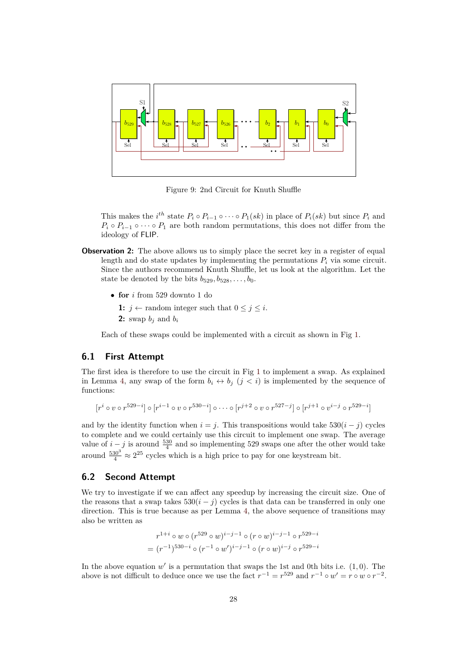<span id="page-27-0"></span>

Figure 9: 2nd Circuit for Knuth Shuffle

This makes the  $i^{th}$  state  $P_i \circ P_{i-1} \circ \cdots \circ P_1(sk)$  in place of  $P_i(sk)$  but since  $P_i$  and  $P_i \circ P_{i-1} \circ \cdots \circ P_1$  are both random permutations, this does not differ from the ideology of FLIP.

- **Observation 2:** The above allows us to simply place the secret key in a register of equal length and do state updates by implementing the permutations  $P_i$  via some circuit. Since the authors recommend Knuth Shuffle, let us look at the algorithm. Let the state be denoted by the bits  $b_{529}, b_{528}, \ldots, b_0$ .
	- **for** *i* from 529 downto 1 do
		- **1:**  $j \leftarrow$  random integer such that  $0 \leq j \leq i$ .
		- **2:** swap  $b_j$  and  $b_i$

Each of these swaps could be implemented with a circuit as shown in Fig [1.](#page-6-0)

### **6.1 First Attempt**

The first idea is therefore to use the circuit in Fig [1](#page-6-0) to implement a swap. As explained in Lemma [4,](#page-5-0) any swap of the form  $b_i \leftrightarrow b_j$  ( $j < i$ ) is implemented by the sequence of functions:

 $[r^i \circ v \circ r^{529-i}] \circ [r^{i-1} \circ v \circ r^{530-i}] \circ \cdots \circ [r^{j+2} \circ v \circ r^{527-j}] \circ [r^{j+1} \circ v^{i-j} \circ r^{529-i}]$ 

and by the identity function when  $i = j$ . This transpositions would take  $530(i - j)$  cycles to complete and we could certainly use this circuit to implement one swap. The average value of  $i - j$  is around  $\frac{530}{4}$  and so implementing 529 swaps one after the other would take around  $\frac{530^3}{4} \approx 2^{25}$  cycles which is a high price to pay for one keystream bit.

#### **6.2 Second Attempt**

We try to investigate if we can affect any speedup by increasing the circuit size. One of the reasons that a swap takes  $530(i - j)$  cycles is that data can be transferred in only one direction. This is true because as per Lemma [4,](#page-5-0) the above sequence of transitions may also be written as

$$
r^{1+i} \circ w \circ (r^{529} \circ w)^{i-j-1} \circ (r \circ w)^{i-j-1} \circ r^{529-i}
$$
  
= 
$$
(r^{-1})^{530-i} \circ (r^{-1} \circ w')^{i-j-1} \circ (r \circ w)^{i-j} \circ r^{529-i}
$$

In the above equation  $w'$  is a permutation that swaps the 1st and 0th bits i.e.  $(1,0)$ . The above is not difficult to deduce once we use the fact  $r^{-1} = r^{529}$  and  $r^{-1} \circ w' = r \circ w \circ r^{-2}$ .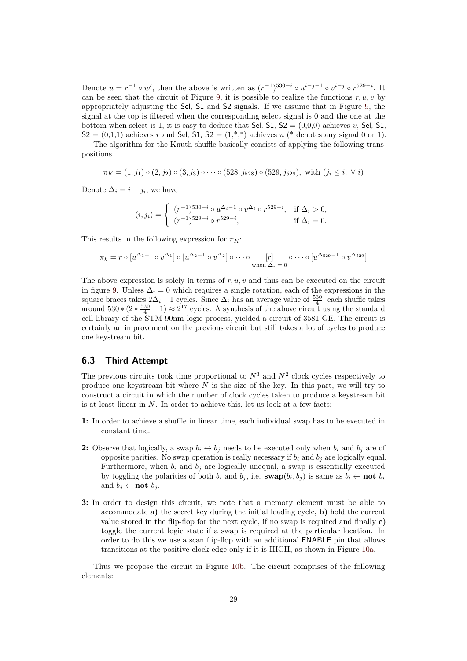Denote  $u = r^{-1} \circ w'$ , then the above is written as  $(r^{-1})^{530-i} \circ u^{i-j-1} \circ v^{i-j} \circ r^{529-i}$ . It can be seen that the circuit of Figure [9,](#page-27-0) it is possible to realize the functions  $r, u, v$  by appropriately adjusting the Sel, S1 and S2 signals. If we assume that in Figure [9,](#page-27-0) the signal at the top is filtered when the corresponding select signal is 0 and the one at the bottom when select is 1, it is easy to deduce that Sel,  $51$ ,  $52 = (0,0,0)$  achieves *v*, Sel, 51,  $S2 = (0,1,1)$  achieves *r* and Sel, S1, S2 =  $(1,*,*)$  achieves *u* (\* denotes any signal 0 or 1).

The algorithm for the Knuth shuffle basically consists of applying the following transpositions

 $\pi_K = (1, j_1) \circ (2, j_2) \circ (3, j_3) \circ \cdots \circ (528, j_{528}) \circ (529, j_{529})$ , with  $(j_i \leq i, \forall i)$ 

Denote  $\Delta_i = i - j_i$ , we have

$$
(i,j_i) = \begin{cases} (r^{-1})^{530-i} \circ u^{\Delta_i - 1} \circ v^{\Delta_i} \circ r^{529-i}, & \text{if } \Delta_i > 0, \\ (r^{-1})^{529-i} \circ r^{529-i}, & \text{if } \Delta_i = 0. \end{cases}
$$

This results in the following expression for  $\pi_K$ :

$$
\pi_k = r \circ [u^{\Delta_1 - 1} \circ v^{\Delta_1}] \circ [u^{\Delta_2 - 1} \circ v^{\Delta_2}] \circ \cdots \circ [r] \qquad \circ \cdots \circ [u^{\Delta_{529} - 1} \circ v^{\Delta_{529}}]
$$
\n
$$
\text{when } \Delta_i = 0
$$

The above expression is solely in terms of *r, u, v* and thus can be executed on the circuit in figure [9.](#page-27-0) Unless  $\Delta_i = 0$  which requires a single rotation, each of the expressions in the square braces takes  $2\Delta_i - 1$  cycles. Since  $\Delta_i$  has an average value of  $\frac{530}{4}$ , each shuffle takes around  $530*(2*\frac{530}{4}-1) \approx 2^{17}$  cycles. A synthesis of the above circuit using the standard cell library of the STM 90nm logic process, yielded a circuit of 3581 GE. The circuit is certainly an improvement on the previous circuit but still takes a lot of cycles to produce one keystream bit.

#### **6.3 Third Attempt**

The previous circuits took time proportional to  $N^3$  and  $N^2$  clock cycles respectively to produce one keystream bit where *N* is the size of the key. In this part, we will try to construct a circuit in which the number of clock cycles taken to produce a keystream bit is at least linear in *N*. In order to achieve this, let us look at a few facts:

- **1:** In order to achieve a shuffle in linear time, each individual swap has to be executed in constant time.
- **2:** Observe that logically, a swap  $b_i \leftrightarrow b_j$  needs to be executed only when  $b_i$  and  $b_j$  are of opposite parities. No swap operation is really necessary if  $b_i$  and  $b_j$  are logically equal. Furthermore, when  $b_i$  and  $b_j$  are logically unequal, a swap is essentially executed by toggling the polarities of both  $b_i$  and  $b_j$ , i.e.  $\textbf{swap}(b_i, b_j)$  is same as  $b_i \leftarrow \textbf{not } b_i$ and  $b_j \leftarrow \textbf{not } b_j$ .
- **3:** In order to design this circuit, we note that a memory element must be able to accommodate **a)** the secret key during the initial loading cycle, **b)** hold the current value stored in the flip-flop for the next cycle, if no swap is required and finally **c)** toggle the current logic state if a swap is required at the particular location. In order to do this we use a scan flip-flop with an additional ENABLE pin that allows transitions at the positive clock edge only if it is HIGH, as shown in Figure [10a.](#page-29-1)

Thus we propose the circuit in Figure [10b.](#page-29-2) The circuit comprises of the following elements: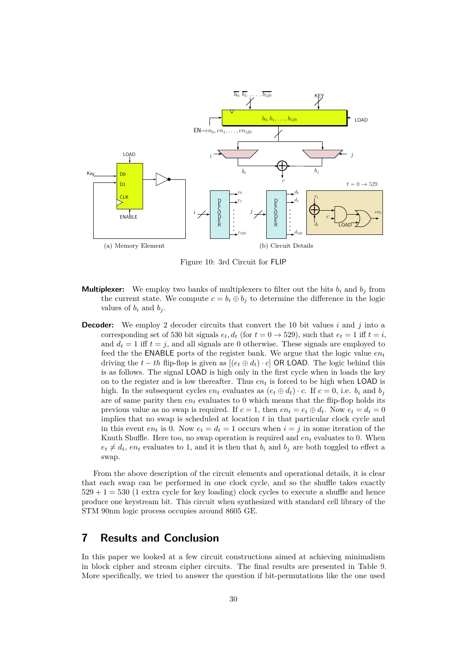<span id="page-29-1"></span>

<span id="page-29-2"></span>Figure 10: 3rd Circuit for FLIP

- **Multiplexer:** We employ two banks of multiplexers to filter out the bits  $b_i$  and  $b_j$  from the current state. We compute  $c = b_i \oplus b_j$  to determine the difference in the logic values of  $b_i$  and  $b_j$ .
- **Decoder:** We employ 2 decoder circuits that convert the 10 bit values *i* and *j* into a corresponding set of 530 bit signals  $e_t$ ,  $d_t$  (for  $t = 0 \rightarrow 529$ ), such that  $e_t = 1$  iff  $t = i$ , and  $d_t = 1$  iff  $t = j$ , and all signals are 0 otherwise. These signals are employed to feed the the **ENABLE** ports of the register bank. We argue that the logic value  $en_t$ driving the  $t - th$  flip-flop is given as  $[(e_t \oplus d_t) \cdot c]$  OR LOAD. The logic behind this is as follows. The signal LOAD is high only in the first cycle when in loads the key on to the register and is low thereafter. Thus  $en_t$  is forced to be high when LOAD is high. In the subsequent cycles  $en_t$  evaluates as  $(e_t \oplus d_t) \cdot c$ . If  $c = 0$ , i.e.  $b_i$  and  $b_j$ are of same parity then  $en_t$  evaluates to 0 which means that the flip-flop holds its previous value as no swap is required. If  $c = 1$ , then  $en_t = e_t \oplus d_t$ . Now  $e_t = d_t = 0$ implies that no swap is scheduled at location *t* in that particular clock cycle and in this event  $en_t$  is 0. Now  $e_t = d_t = 1$  occurs when  $i = j$  in some iteration of the Knuth Shuffle. Here too, no swap operation is required and *en<sup>t</sup>* evaluates to 0. When  $e_t \neq d_t$ ,  $e_n$  evaluates to 1, and it is then that  $b_i$  and  $b_j$  are both toggled to effect a swap.

From the above description of the circuit elements and operational details, it is clear that each swap can be performed in one clock cycle, and so the shuffle takes exactly  $529 + 1 = 530$  (1 extra cycle for key loading) clock cycles to execute a shuffle and hence produce one keystream bit. This circuit when synthesized with standard cell library of the STM 90nm logic process occupies around 8605 GE.

## <span id="page-29-0"></span>**7 Results and Conclusion**

In this paper we looked at a few circuit constructions aimed at achieving minimalism in block cipher and stream cipher circuits. The final results are presented in Table [9.](#page-30-0) More specifically, we tried to answer the question if bit-permutations like the one used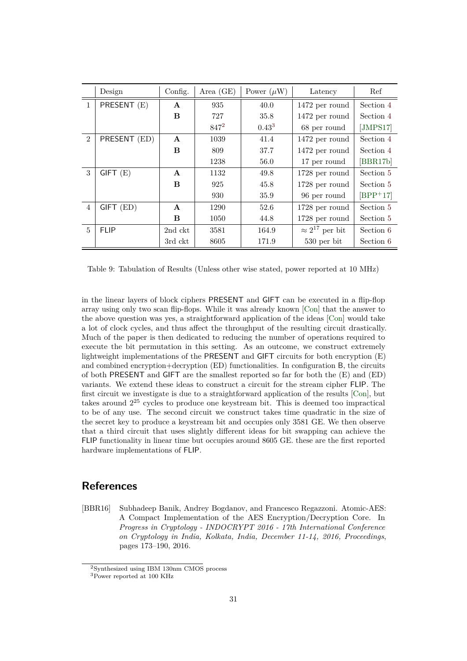<span id="page-30-0"></span>

|                | Design        | Config.      | Area $(GE)$ | Power $(\mu W)$ | Latency                  | Ref        |
|----------------|---------------|--------------|-------------|-----------------|--------------------------|------------|
| $\mathbf{1}$   | PRESENT (E)   | $\mathbf{A}$ | 935         | 40.0            | 1472 per round           | Section 4  |
|                |               | B            | 727         | 35.8            | 1472 per round           | Section 4  |
|                |               |              | $847^2$     | $0.43^{3}$      | 68 per round             | [JMPS17]   |
| $\mathfrak{D}$ | PRESENT (ED)  | $\mathbf{A}$ | 1039        | 41.4            | 1472 per round           | Section 4  |
|                |               | B            | 809         | 37.7            | 1472 per round           | Section 4  |
|                |               |              | 1238        | 56.0            | 17 per round             | [BBR17b]   |
| 3              | $GIFT$ $(E)$  | $\mathbf{A}$ | 1132        | 49.8            | $1728$ per round         | Section 5  |
|                |               | B            | 925         | 45.8            | 1728 per round           | Section 5  |
|                |               |              | 930         | 35.9            | 96 per round             | $[BPP+17]$ |
| $\overline{4}$ | $GIFT$ $(ED)$ | $\mathbf{A}$ | 1290        | 52.6            | $1728$ per round         | Section 5  |
|                |               | B            | 1050        | 44.8            | 1728 per round           | Section 5  |
| $\overline{5}$ | <b>FLIP</b>   | 2nd ckt      | 3581        | 164.9           | $\approx 2^{17}$ per bit | Section 6  |
|                |               | 3rd ckt      | 8605        | 171.9           | $530$ per bit            | Section 6  |

Table 9: Tabulation of Results (Unless other wise stated, power reported at 10 MHz)

in the linear layers of block ciphers PRESENT and GIFT can be executed in a flip-flop array using only two scan flip-flops. While it was already known [\[Con\]](#page-31-6) that the answer to the above question was yes, a straightforward application of the ideas [\[Con\]](#page-31-6) would take a lot of clock cycles, and thus affect the throughput of the resulting circuit drastically. Much of the paper is then dedicated to reducing the number of operations required to execute the bit permutation in this setting. As an outcome, we construct extremely lightweight implementations of the PRESENT and GIFT circuits for both encryption (E) and combined encryption+decryption (ED) functionalities. In configuration B, the circuits of both PRESENT and GIFT are the smallest reported so far for both the (E) and (ED) variants. We extend these ideas to construct a circuit for the stream cipher FLIP. The first circuit we investigate is due to a straightforward application of the results [\[Con\]](#page-31-6), but takes around 2 <sup>25</sup> cycles to produce one keystream bit. This is deemed too impractical to be of any use. The second circuit we construct takes time quadratic in the size of the secret key to produce a keystream bit and occupies only 3581 GE. We then observe that a third circuit that uses slightly different ideas for bit swapping can achieve the FLIP functionality in linear time but occupies around 8605 GE. these are the first reported hardware implementations of FLIP.

### **References**

<span id="page-30-1"></span>[BBR16] Subhadeep Banik, Andrey Bogdanov, and Francesco Regazzoni. Atomic-AES: A Compact Implementation of the AES Encryption/Decryption Core. In *Progress in Cryptology - INDOCRYPT 2016 - 17th International Conference on Cryptology in India, Kolkata, India, December 11-14, 2016, Proceedings*, pages 173–190, 2016.

<span id="page-30-2"></span><sup>2</sup>Synthesized using IBM 130nm CMOS process

<sup>3</sup>Power reported at 100 KHz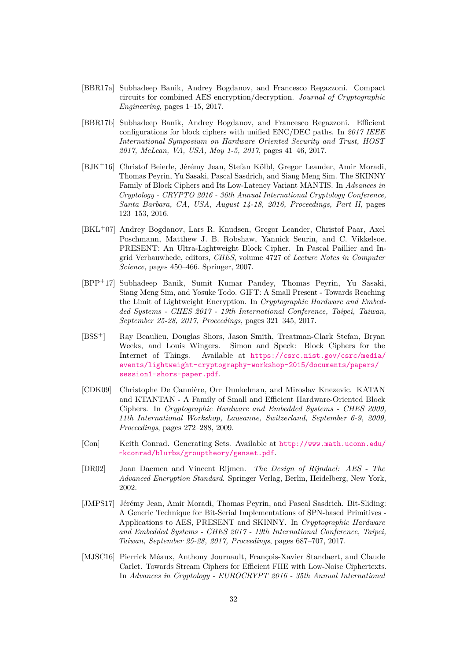- <span id="page-31-9"></span>[BBR17a] Subhadeep Banik, Andrey Bogdanov, and Francesco Regazzoni. Compact circuits for combined AES encryption/decryption. *Journal of Cryptographic Engineering*, pages 1–15, 2017.
- <span id="page-31-10"></span>[BBR17b] Subhadeep Banik, Andrey Bogdanov, and Francesco Regazzoni. Efficient configurations for block ciphers with unified ENC/DEC paths. In *2017 IEEE International Symposium on Hardware Oriented Security and Trust, HOST 2017, McLean, VA, USA, May 1-5, 2017*, pages 41–46, 2017.
- <span id="page-31-5"></span>[BJK<sup>+</sup>16] Christof Beierle, Jérémy Jean, Stefan Kölbl, Gregor Leander, Amir Moradi, Thomas Peyrin, Yu Sasaki, Pascal Sasdrich, and Siang Meng Sim. The SKINNY Family of Block Ciphers and Its Low-Latency Variant MANTIS. In *Advances in Cryptology - CRYPTO 2016 - 36th Annual International Cryptology Conference, Santa Barbara, CA, USA, August 14-18, 2016, Proceedings, Part II*, pages 123–153, 2016.
- <span id="page-31-4"></span>[BKL<sup>+</sup>07] Andrey Bogdanov, Lars R. Knudsen, Gregor Leander, Christof Paar, Axel Poschmann, Matthew J. B. Robshaw, Yannick Seurin, and C. Vikkelsoe. PRESENT: An Ultra-Lightweight Block Cipher. In Pascal Paillier and Ingrid Verbauwhede, editors, *CHES*, volume 4727 of *Lecture Notes in Computer Science*, pages 450–466. Springer, 2007.
- <span id="page-31-7"></span>[BPP<sup>+</sup>17] Subhadeep Banik, Sumit Kumar Pandey, Thomas Peyrin, Yu Sasaki, Siang Meng Sim, and Yosuke Todo. GIFT: A Small Present - Towards Reaching the Limit of Lightweight Encryption. In *Cryptographic Hardware and Embedded Systems - CHES 2017 - 19th International Conference, Taipei, Taiwan, September 25-28, 2017, Proceedings*, pages 321–345, 2017.
- <span id="page-31-1"></span>[BSS<sup>+</sup>] Ray Beaulieu, Douglas Shors, Jason Smith, Treatman-Clark Stefan, Bryan Weeks, and Louis Wingers. Simon and Speck: Block Ciphers for the Internet of Things. Available at [https://csrc.nist.gov/csrc/media/](https://csrc.nist.gov/csrc/media/events/lightweight-cryptography-workshop-2015/documents/papers/session1-shors-paper.pdf) [events/lightweight-cryptography-workshop-2015/documents/papers/](https://csrc.nist.gov/csrc/media/events/lightweight-cryptography-workshop-2015/documents/papers/session1-shors-paper.pdf) [session1-shors-paper.pdf](https://csrc.nist.gov/csrc/media/events/lightweight-cryptography-workshop-2015/documents/papers/session1-shors-paper.pdf).
- <span id="page-31-0"></span>[CDK09] Christophe De Cannière, Orr Dunkelman, and Miroslav Knezevic. KATAN and KTANTAN - A Family of Small and Efficient Hardware-Oriented Block Ciphers. In *Cryptographic Hardware and Embedded Systems - CHES 2009, 11th International Workshop, Lausanne, Switzerland, September 6-9, 2009, Proceedings*, pages 272–288, 2009.
- <span id="page-31-6"></span>[Con] Keith Conrad. Generating Sets. Available at [http://www.math.uconn.edu/](http://www.math.uconn.edu/~kconrad/blurbs/grouptheory/genset.pdf) [~kconrad/blurbs/grouptheory/genset.pdf](http://www.math.uconn.edu/~kconrad/blurbs/grouptheory/genset.pdf).
- <span id="page-31-3"></span>[DR02] Joan Daemen and Vincent Rijmen. *The Design of Rijndael: AES - The Advanced Encryption Standard*. Springer Verlag, Berlin, Heidelberg, New York, 2002.
- <span id="page-31-2"></span>[JMPS17] Jérémy Jean, Amir Moradi, Thomas Peyrin, and Pascal Sasdrich. Bit-Sliding: A Generic Technique for Bit-Serial Implementations of SPN-based Primitives - Applications to AES, PRESENT and SKINNY. In *Cryptographic Hardware and Embedded Systems - CHES 2017 - 19th International Conference, Taipei, Taiwan, September 25-28, 2017, Proceedings*, pages 687–707, 2017.
- <span id="page-31-8"></span>[MJSC16] Pierrick Méaux, Anthony Journault, François-Xavier Standaert, and Claude Carlet. Towards Stream Ciphers for Efficient FHE with Low-Noise Ciphertexts. In *Advances in Cryptology - EUROCRYPT 2016 - 35th Annual International*